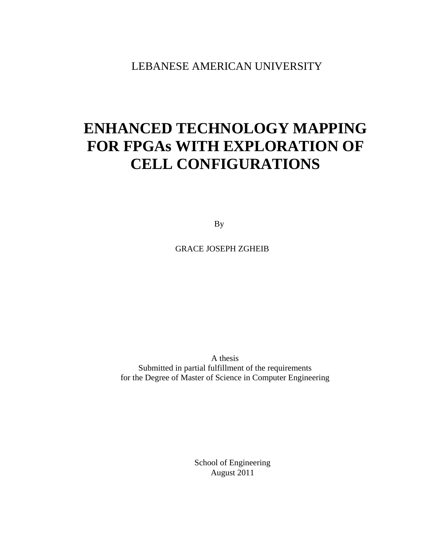LEBANESE AMERICAN UNIVERSITY

# **ENHANCED TECHNOLOGY MAPPING FOR FPGAs WITH EXPLORATION OF CELL CONFIGURATIONS**

By

GRACE JOSEPH ZGHEIB

A thesis Submitted in partial fulfillment of the requirements for the Degree of Master of Science in Computer Engineering

> School of Engineering August 2011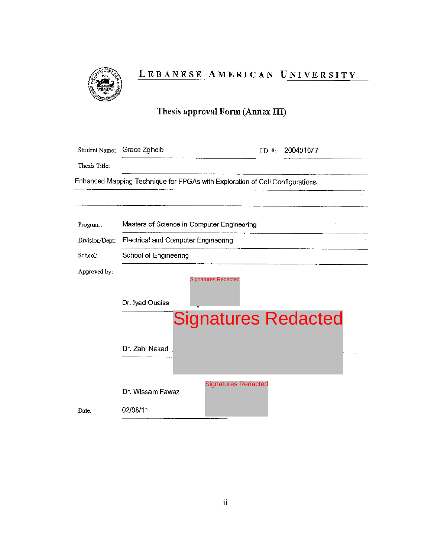

### LEBANESE AMERICAN UNIVERSITY

### Thesis approval Form (Annex III)

| Student Name:  | Grace Zgheib                                                                 |                            | I.D. #: | 200401077                  |
|----------------|------------------------------------------------------------------------------|----------------------------|---------|----------------------------|
| Thesis Title:  |                                                                              |                            |         |                            |
|                | Enhanced Mapping Technique for FPGAs with Exploration of Cell Configurations |                            |         |                            |
|                |                                                                              |                            |         |                            |
| Program:       | Masters of Science in Computer Engineering                                   |                            |         |                            |
| Division/Dept: | Electrical and Computer Engineering                                          |                            |         |                            |
| School:        | School of Engineering                                                        |                            |         |                            |
| Approved by:   |                                                                              | <b>Signatures Redacted</b> |         |                            |
|                | Dr. Iyad Ouaiss                                                              |                            |         |                            |
|                |                                                                              |                            |         | <b>Signatures Redacted</b> |
|                | Dr. Zahi Nakad                                                               |                            |         |                            |
|                | Dr. Wissam Fawaz                                                             | <b>Signatures Redacted</b> |         |                            |
| Date:          | 02/08/11                                                                     |                            |         |                            |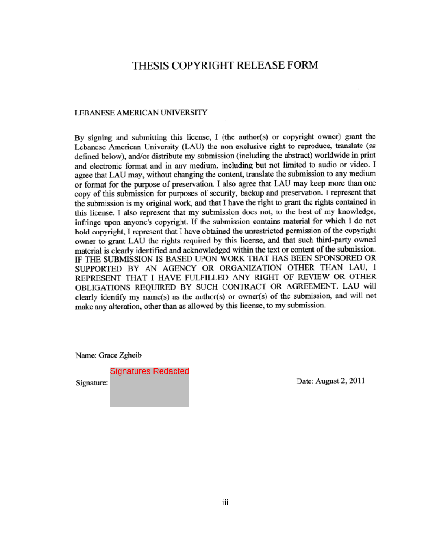### THESIS COPYRIGHT RELEASE FORM

#### **LEBANESE AMERICAN UNIVERSITY**

By signing and submitting this license, I (the author(s) or copyright owner) grant the Lebancsc American University (LAU) the non-exclusive right to reproduce, translate (as defined below), and/or distribute my submission (including the abstract) worldwide in print and electronic format and in any medium, including but not limited to audio or video. I agree that LAU may, without changing the content, translate the submission to any medium or format for the purpose of preservation. I also agree that LAU may keep more than one copy of this submission for purposes of security, backup and preservation. I represent that the submission is my original work, and that I have the right to grant the rights contained in this license. I also represent that my submission does not, to the best of my knowledge, infringe upon anyone's copyright. If the submission contains material for which I do not hold copyright, I represent that I have obtained the unrestricted permission of the copyright owner to grant LAU the rights required by this license, and that such third-party owned material is clearly identified and acknowledged within the text or content of the submission. IF THE SUBMISSION IS BASED UPON WORK THAT HAS BEEN SPONSORED OR SUPPORTED BY AN AGENCY OR ORGANIZATION OTHER THAN LAU, I REPRESENT THAT I HAVE FULFILLED ANY RIGHT OF REVIEW OR OTHER OBLIGATIONS REQUIRED BY SUCH CONTRACT OR AGREEMENT. LAU will clearly identify my name(s) as the author(s) or owner(s) of the submission, and will not make any alteration, other than as allowed by this license, to my submission.

Name: Grace Zgheib

Signatures RedactedSignature:

Date: August 2, 2011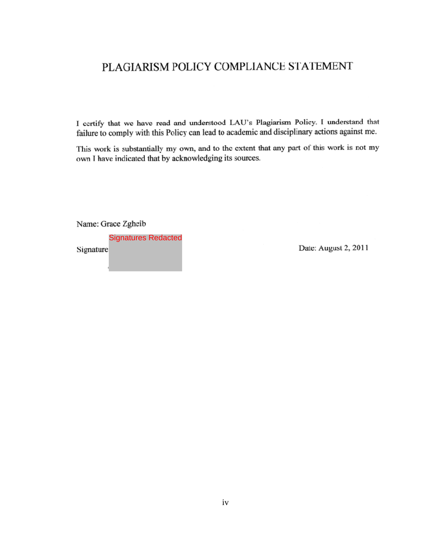### PLAGIARISM POLICY COMPLIANCE STATEMENT

I certify that we have read and understood LAU's Plagiarism Policy. I understand that failure to comply with this Policy can lead to academic and disciplinary actions against me.

This work is substantially my own, and to the extent that any part of this work is not my own I have indicated that by acknowledging its sources.

Name: Grace Zgheib

Signatures Redacted

Date: August 2, 2011

Signature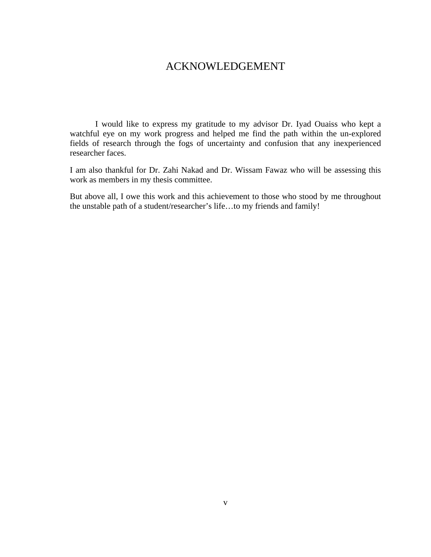### ACKNOWLEDGEMENT

I would like to express my gratitude to my advisor Dr. Iyad Ouaiss who kept a watchful eye on my work progress and helped me find the path within the un-explored fields of research through the fogs of uncertainty and confusion that any inexperienced researcher faces.

I am also thankful for Dr. Zahi Nakad and Dr. Wissam Fawaz who will be assessing this work as members in my thesis committee.

But above all, I owe this work and this achievement to those who stood by me throughout the unstable path of a student/researcher's life…to my friends and family!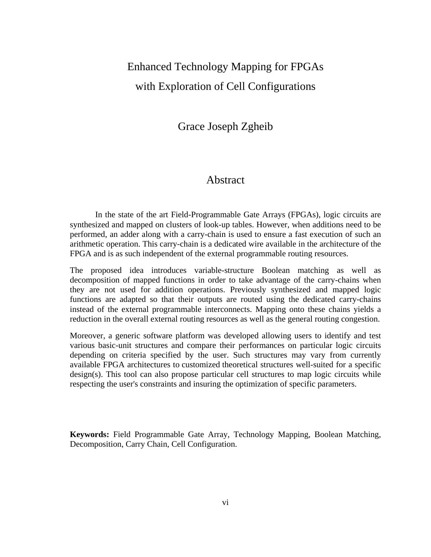## Enhanced Technology Mapping for FPGAs with Exploration of Cell Configurations

Grace Joseph Zgheib

#### Abstract

In the state of the art Field-Programmable Gate Arrays (FPGAs), logic circuits are synthesized and mapped on clusters of look-up tables. However, when additions need to be performed, an adder along with a carry-chain is used to ensure a fast execution of such an arithmetic operation. This carry-chain is a dedicated wire available in the architecture of the FPGA and is as such independent of the external programmable routing resources.

The proposed idea introduces variable-structure Boolean matching as well as decomposition of mapped functions in order to take advantage of the carry-chains when they are not used for addition operations. Previously synthesized and mapped logic functions are adapted so that their outputs are routed using the dedicated carry-chains instead of the external programmable interconnects. Mapping onto these chains yields a reduction in the overall external routing resources as well as the general routing congestion.

Moreover, a generic software platform was developed allowing users to identify and test various basic-unit structures and compare their performances on particular logic circuits depending on criteria specified by the user. Such structures may vary from currently available FPGA architectures to customized theoretical structures well-suited for a specific design(s). This tool can also propose particular cell structures to map logic circuits while respecting the user's constraints and insuring the optimization of specific parameters.

**Keywords:** Field Programmable Gate Array, Technology Mapping, Boolean Matching, Decomposition, Carry Chain, Cell Configuration.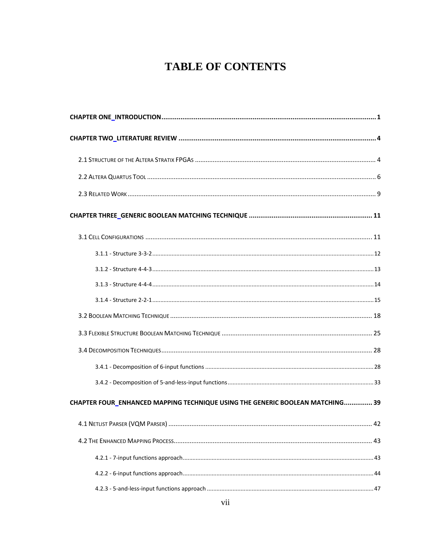## **TABLE OF CONTENTS**

| CHAPTER FOUR_ENHANCED MAPPING TECHNIQUE USING THE GENERIC BOOLEAN MATCHING 39 |  |
|-------------------------------------------------------------------------------|--|
|                                                                               |  |
|                                                                               |  |
|                                                                               |  |
|                                                                               |  |
|                                                                               |  |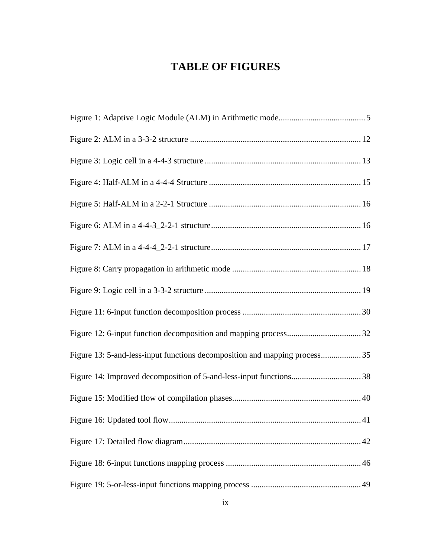## **TABLE OF FIGURES**

| Figure 13: 5-and-less-input functions decomposition and mapping process35 |  |
|---------------------------------------------------------------------------|--|
|                                                                           |  |
|                                                                           |  |
|                                                                           |  |
|                                                                           |  |
|                                                                           |  |
|                                                                           |  |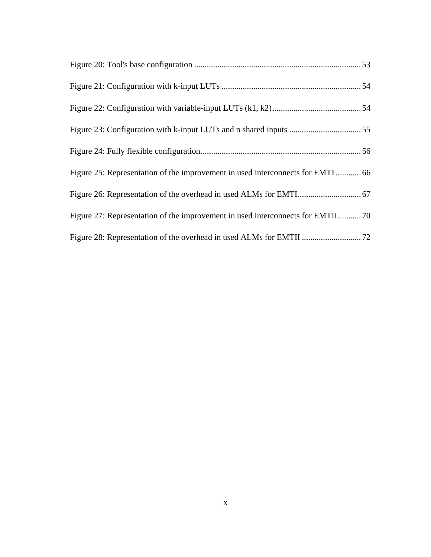| Figure 25: Representation of the improvement in used interconnects for EMTI  66 |  |
|---------------------------------------------------------------------------------|--|
|                                                                                 |  |
| Figure 27: Representation of the improvement in used interconnects for EMTII70  |  |
|                                                                                 |  |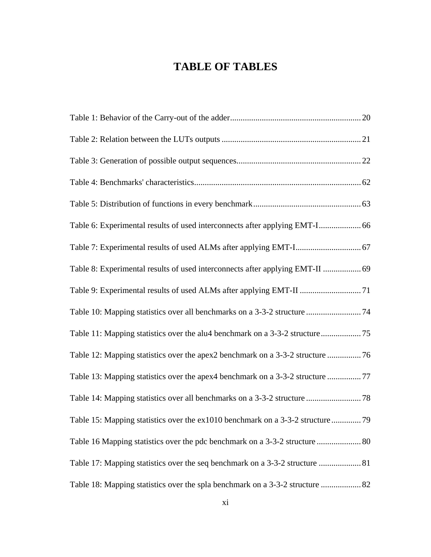## **TABLE OF TABLES**

| Table 8: Experimental results of used interconnects after applying EMT-II  69 |  |
|-------------------------------------------------------------------------------|--|
|                                                                               |  |
| Table 10: Mapping statistics over all benchmarks on a 3-3-2 structure  74     |  |
|                                                                               |  |
| Table 12: Mapping statistics over the apex2 benchmark on a 3-3-2 structure    |  |
| Table 13: Mapping statistics over the apex4 benchmark on a 3-3-2 structure    |  |
|                                                                               |  |
| Table 15: Mapping statistics over the ex1010 benchmark on a 3-3-2 structure   |  |
| Table 16 Mapping statistics over the pdc benchmark on a 3-3-2 structure  80   |  |
| Table 17: Mapping statistics over the seq benchmark on a 3-3-2 structure  81  |  |
| Table 18: Mapping statistics over the spla benchmark on a 3-3-2 structure  82 |  |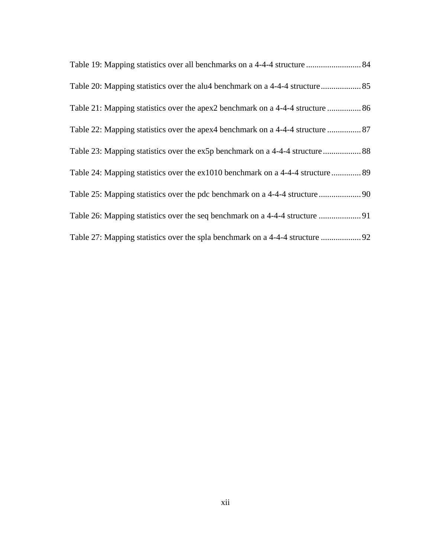| Table 21: Mapping statistics over the apex2 benchmark on a 4-4-4 structure  86  |
|---------------------------------------------------------------------------------|
| Table 22: Mapping statistics over the apex4 benchmark on a 4-4-4 structure  87  |
|                                                                                 |
| Table 24: Mapping statistics over the ex1010 benchmark on a 4-4-4 structure  89 |
|                                                                                 |
|                                                                                 |
|                                                                                 |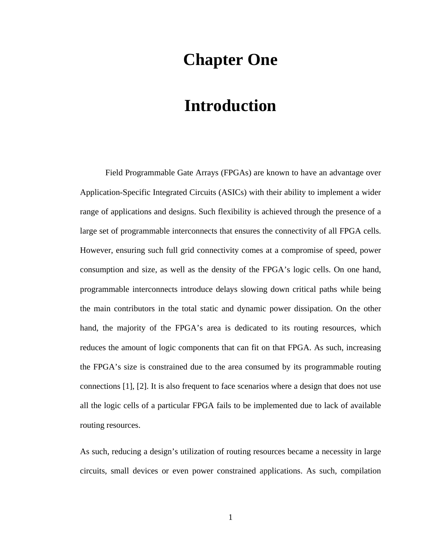## **Chapter One**

# **Introduction**

Field Programmable Gate Arrays (FPGAs) are known to have an advantage over Application-Specific Integrated Circuits (ASICs) with their ability to implement a wider range of applications and designs. Such flexibility is achieved through the presence of a large set of programmable interconnects that ensures the connectivity of all FPGA cells. However, ensuring such full grid connectivity comes at a compromise of speed, power consumption and size, as well as the density of the FPGA's logic cells. On one hand, programmable interconnects introduce delays slowing down critical paths while being the main contributors in the total static and dynamic power dissipation. On the other hand, the majority of the FPGA's area is dedicated to its routing resources, which reduces the amount of logic components that can fit on that FPGA. As such, increasing the FPGA's size is constrained due to the area consumed by its programmable routing connections [1], [2]. It is also frequent to face scenarios where a design that does not use all the logic cells of a particular FPGA fails to be implemented due to lack of available routing resources.

As such, reducing a design's utilization of routing resources became a necessity in large circuits, small devices or even power constrained applications. As such, compilation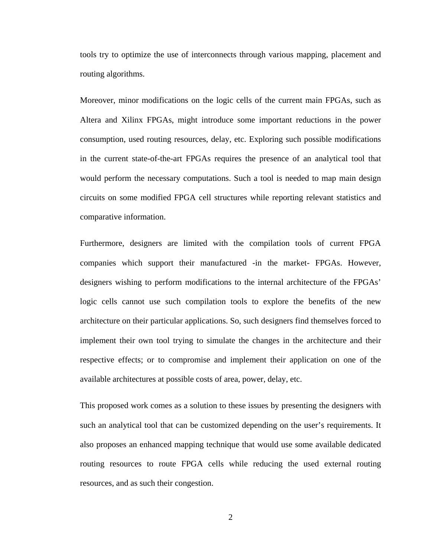tools try to optimize the use of interconnects through various mapping, placement and routing algorithms.

Moreover, minor modifications on the logic cells of the current main FPGAs, such as Altera and Xilinx FPGAs, might introduce some important reductions in the power consumption, used routing resources, delay, etc. Exploring such possible modifications in the current state-of-the-art FPGAs requires the presence of an analytical tool that would perform the necessary computations. Such a tool is needed to map main design circuits on some modified FPGA cell structures while reporting relevant statistics and comparative information.

Furthermore, designers are limited with the compilation tools of current FPGA companies which support their manufactured -in the market- FPGAs. However, designers wishing to perform modifications to the internal architecture of the FPGAs' logic cells cannot use such compilation tools to explore the benefits of the new architecture on their particular applications. So, such designers find themselves forced to implement their own tool trying to simulate the changes in the architecture and their respective effects; or to compromise and implement their application on one of the available architectures at possible costs of area, power, delay, etc.

This proposed work comes as a solution to these issues by presenting the designers with such an analytical tool that can be customized depending on the user's requirements. It also proposes an enhanced mapping technique that would use some available dedicated routing resources to route FPGA cells while reducing the used external routing resources, and as such their congestion.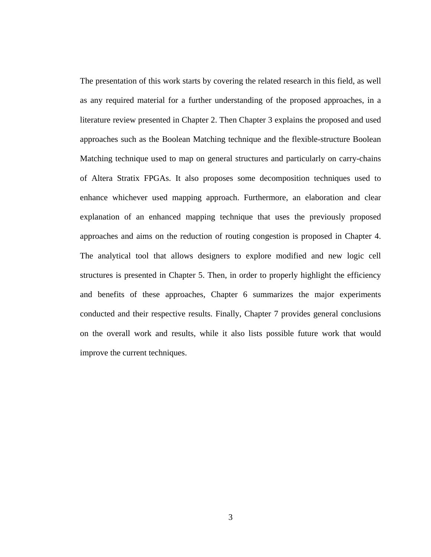The presentation of this work starts by covering the related research in this field, as well as any required material for a further understanding of the proposed approaches, in a literature review presented in Chapter 2. Then Chapter 3 explains the proposed and used approaches such as the Boolean Matching technique and the flexible-structure Boolean Matching technique used to map on general structures and particularly on carry-chains of Altera Stratix FPGAs. It also proposes some decomposition techniques used to enhance whichever used mapping approach. Furthermore, an elaboration and clear explanation of an enhanced mapping technique that uses the previously proposed approaches and aims on the reduction of routing congestion is proposed in Chapter 4. The analytical tool that allows designers to explore modified and new logic cell structures is presented in Chapter 5. Then, in order to properly highlight the efficiency and benefits of these approaches, Chapter 6 summarizes the major experiments conducted and their respective results. Finally, Chapter 7 provides general conclusions on the overall work and results, while it also lists possible future work that would improve the current techniques.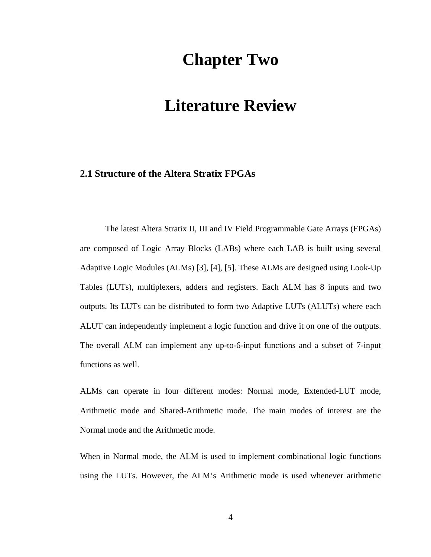## **Chapter Two**

# **Literature Review**

#### **2.1 Structure of the Altera Stratix FPGAs**

The latest Altera Stratix II, III and IV Field Programmable Gate Arrays (FPGAs) are composed of Logic Array Blocks (LABs) where each LAB is built using several Adaptive Logic Modules (ALMs) [3], [4], [5]. These ALMs are designed using Look-Up Tables (LUTs), multiplexers, adders and registers. Each ALM has 8 inputs and two outputs. Its LUTs can be distributed to form two Adaptive LUTs (ALUTs) where each ALUT can independently implement a logic function and drive it on one of the outputs. The overall ALM can implement any up-to-6-input functions and a subset of 7-input functions as well.

ALMs can operate in four different modes: Normal mode, Extended-LUT mode, Arithmetic mode and Shared-Arithmetic mode. The main modes of interest are the Normal mode and the Arithmetic mode.

When in Normal mode, the ALM is used to implement combinational logic functions using the LUTs. However, the ALM's Arithmetic mode is used whenever arithmetic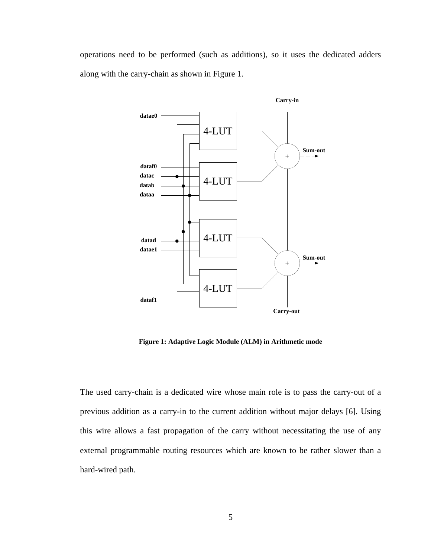operations need to be performed (such as additions), so it uses the dedicated adders along with the carry-chain as shown in Figure 1.



**Figure 1: Adaptive Logic Module (ALM) in Arithmetic mode** 

The used carry-chain is a dedicated wire whose main role is to pass the carry-out of a previous addition as a carry-in to the current addition without major delays [6]. Using this wire allows a fast propagation of the carry without necessitating the use of any external programmable routing resources which are known to be rather slower than a hard-wired path.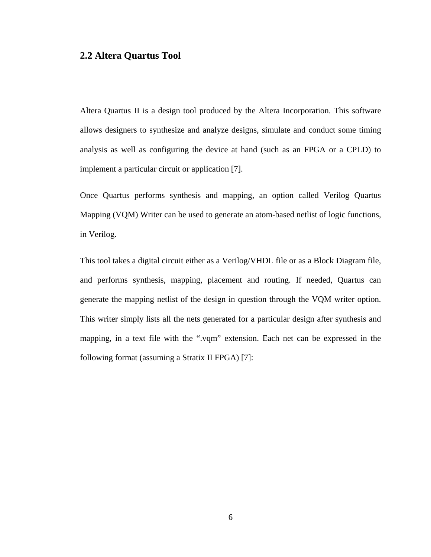#### **2.2 Altera Quartus Tool**

Altera Quartus II is a design tool produced by the Altera Incorporation. This software allows designers to synthesize and analyze designs, simulate and conduct some timing analysis as well as configuring the device at hand (such as an FPGA or a CPLD) to implement a particular circuit or application [7].

Once Quartus performs synthesis and mapping, an option called Verilog Quartus Mapping (VQM) Writer can be used to generate an atom-based netlist of logic functions, in Verilog.

This tool takes a digital circuit either as a Verilog/VHDL file or as a Block Diagram file, and performs synthesis, mapping, placement and routing. If needed, Quartus can generate the mapping netlist of the design in question through the VQM writer option. This writer simply lists all the nets generated for a particular design after synthesis and mapping, in a text file with the ".vqm" extension. Each net can be expressed in the following format (assuming a Stratix II FPGA) [7]: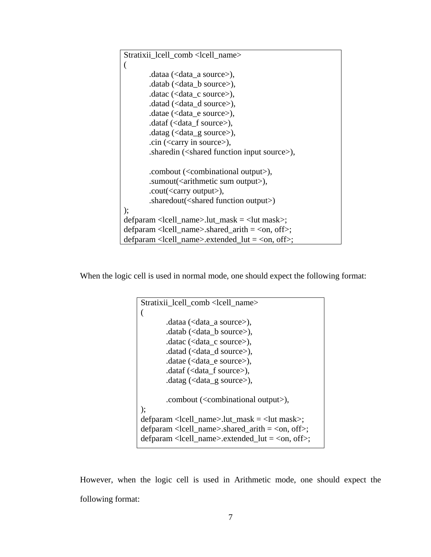```
Stratixii lcell comb <lcell name>
( 
       .dataa (<data_a source>), 
        .datab (<data_b source>), 
        .datac (<data_c source>), 
        .datad (<data_d source>), 
       .datae (<data_e source>),
        .dataf (<data_f source>), 
        .datag (<data_g source>), 
       .cin (<carry in source>), 
       .sharedin (<shared function input source>), 
       .combout (<combinational output>), 
       .sumout(<arithmetic sum output>), 
       .cout(<carry output>), 
       .sharedout(<shared function output>) 
); 
defparam <lcell_name>.lut_mask = <lut mask>; 
defparam \lelcell_name>.shared_arith = \leon, off>;
defparam <loughl_name>.extended_lut = <on, off>;
```
When the logic cell is used in normal mode, one should expect the following format:

```
Stratixii_lcell_comb <lcell_name> 
( 
       .dataa (<data_a source>), 
        .datab (<data_b source>), 
        .datac (<data_c source>), 
        .datad (<data_d source>), 
        .datae (<data_e source>), 
        .dataf (<data_f source>), 
        .datag (<data_g source>), 
       .combout (<combinational output>), 
); 
defparam \lelcell name>.lut mask = \lelut mask>;
defparam \lelcell_name>.shared_arith = \leon, off>;
defparam <lcell_name>.extended_lut = <on, off>;
```
However, when the logic cell is used in Arithmetic mode, one should expect the following format: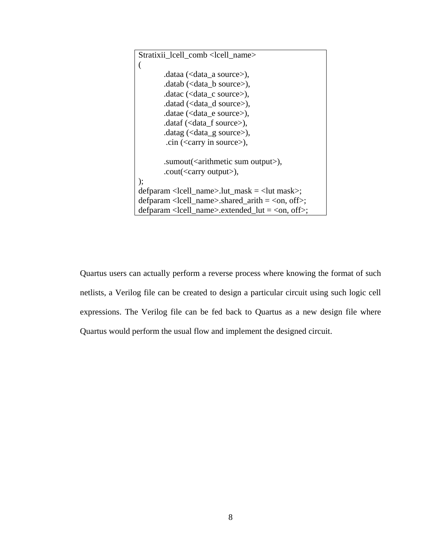```
Stratixii_lcell_comb <lcell_name> 
( 
        .dataa (<data_a source>), 
         .datab (<data_b source>), 
        .datac (\text{data}\ \text{c} \text{source}),
         .datad (<data_d source>), 
        .datae (\langledata e source\rangle),
         .dataf (<data_f source>), 
         .datag (<data_g source>), 
          .cin (<carry in source>), 
        .sumout(<arithmetic sum output>), 
        .cout(<carry output>), 
); 
defparam <lcell_name>.lut_mask = <lut mask>; 
defparam <locall_name>.shared_arith = <on, off>;
defparam \lelcell name>.extended lut = \leon, off>;
```
Quartus users can actually perform a reverse process where knowing the format of such netlists, a Verilog file can be created to design a particular circuit using such logic cell expressions. The Verilog file can be fed back to Quartus as a new design file where Quartus would perform the usual flow and implement the designed circuit.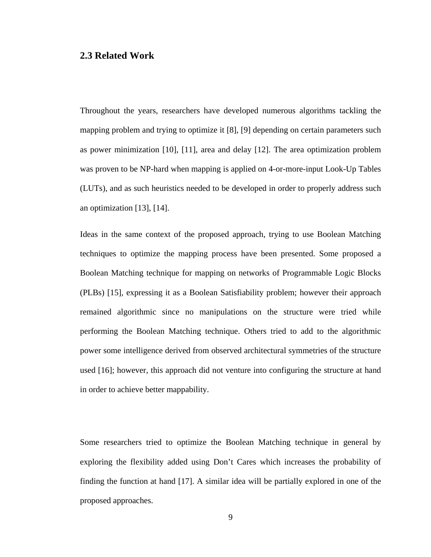#### **2.3 Related Work**

Throughout the years, researchers have developed numerous algorithms tackling the mapping problem and trying to optimize it [8], [9] depending on certain parameters such as power minimization [10], [11], area and delay [12]. The area optimization problem was proven to be NP-hard when mapping is applied on 4-or-more-input Look-Up Tables (LUTs), and as such heuristics needed to be developed in order to properly address such an optimization [13], [14].

Ideas in the same context of the proposed approach, trying to use Boolean Matching techniques to optimize the mapping process have been presented. Some proposed a Boolean Matching technique for mapping on networks of Programmable Logic Blocks (PLBs) [15], expressing it as a Boolean Satisfiability problem; however their approach remained algorithmic since no manipulations on the structure were tried while performing the Boolean Matching technique. Others tried to add to the algorithmic power some intelligence derived from observed architectural symmetries of the structure used [16]; however, this approach did not venture into configuring the structure at hand in order to achieve better mappability.

Some researchers tried to optimize the Boolean Matching technique in general by exploring the flexibility added using Don't Cares which increases the probability of finding the function at hand [17]. A similar idea will be partially explored in one of the proposed approaches.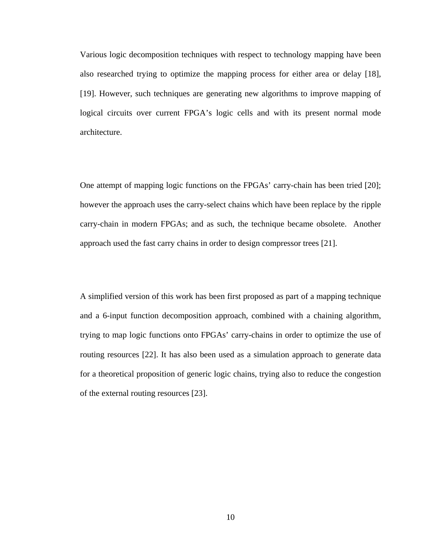Various logic decomposition techniques with respect to technology mapping have been also researched trying to optimize the mapping process for either area or delay [18], [19]. However, such techniques are generating new algorithms to improve mapping of logical circuits over current FPGA's logic cells and with its present normal mode architecture.

One attempt of mapping logic functions on the FPGAs' carry-chain has been tried [20]; however the approach uses the carry-select chains which have been replace by the ripple carry-chain in modern FPGAs; and as such, the technique became obsolete. Another approach used the fast carry chains in order to design compressor trees [21].

A simplified version of this work has been first proposed as part of a mapping technique and a 6-input function decomposition approach, combined with a chaining algorithm, trying to map logic functions onto FPGAs' carry-chains in order to optimize the use of routing resources [22]. It has also been used as a simulation approach to generate data for a theoretical proposition of generic logic chains, trying also to reduce the congestion of the external routing resources [23].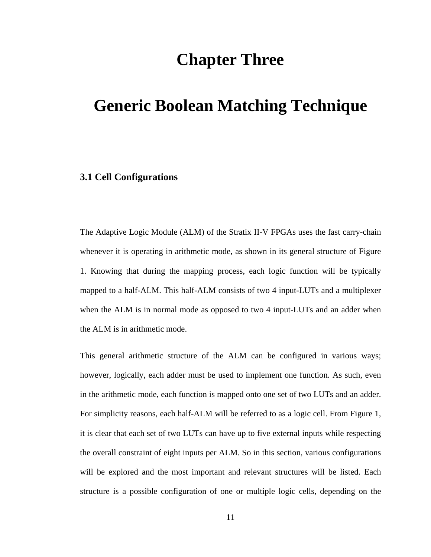## **Chapter Three**

# **Generic Boolean Matching Technique**

#### **3.1 Cell Configurations**

The Adaptive Logic Module (ALM) of the Stratix II-V FPGAs uses the fast carry-chain whenever it is operating in arithmetic mode, as shown in its general structure of Figure 1. Knowing that during the mapping process, each logic function will be typically mapped to a half-ALM. This half-ALM consists of two 4 input-LUTs and a multiplexer when the ALM is in normal mode as opposed to two 4 input-LUTs and an adder when the ALM is in arithmetic mode.

This general arithmetic structure of the ALM can be configured in various ways; however, logically, each adder must be used to implement one function. As such, even in the arithmetic mode, each function is mapped onto one set of two LUTs and an adder. For simplicity reasons, each half-ALM will be referred to as a logic cell. From Figure 1, it is clear that each set of two LUTs can have up to five external inputs while respecting the overall constraint of eight inputs per ALM. So in this section, various configurations will be explored and the most important and relevant structures will be listed. Each structure is a possible configuration of one or multiple logic cells, depending on the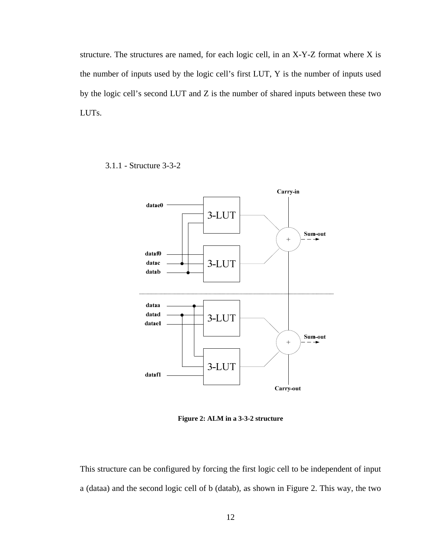structure. The structures are named, for each logic cell, in an X-Y-Z format where X is the number of inputs used by the logic cell's first LUT, Y is the number of inputs used by the logic cell's second LUT and Z is the number of shared inputs between these two LUTs.

- Carry-in datae0 3-LUT Sum-out  $\ddot{+}$ dataf0 datac 3-LUT datab dataa datad 3-LUT datae1 Sum-out  $\ddot{}$ 3-LUT datafl Carry-out
- 3.1.1 Structure 3-3-2

**Figure 2: ALM in a 3-3-2 structure** 

This structure can be configured by forcing the first logic cell to be independent of input a (dataa) and the second logic cell of b (datab), as shown in Figure 2. This way, the two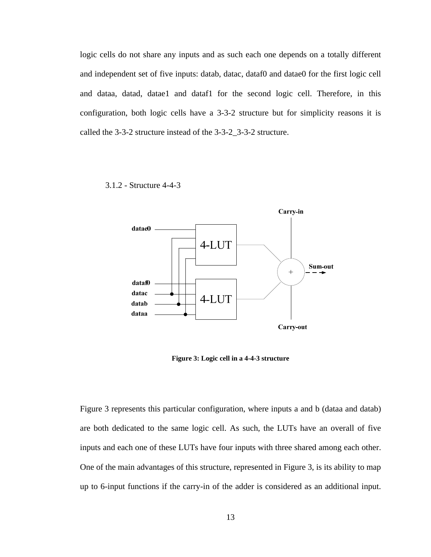logic cells do not share any inputs and as such each one depends on a totally different and independent set of five inputs: datab, datac, dataf0 and datae0 for the first logic cell and dataa, datad, datae1 and dataf1 for the second logic cell. Therefore, in this configuration, both logic cells have a 3-3-2 structure but for simplicity reasons it is called the 3-3-2 structure instead of the 3-3-2\_3-3-2 structure.

3.1.2 - Structure 4-4-3



**Figure 3: Logic cell in a 4-4-3 structure** 

Figure 3 represents this particular configuration, where inputs a and b (dataa and datab) are both dedicated to the same logic cell. As such, the LUTs have an overall of five inputs and each one of these LUTs have four inputs with three shared among each other. One of the main advantages of this structure, represented in Figure 3, is its ability to map up to 6-input functions if the carry-in of the adder is considered as an additional input.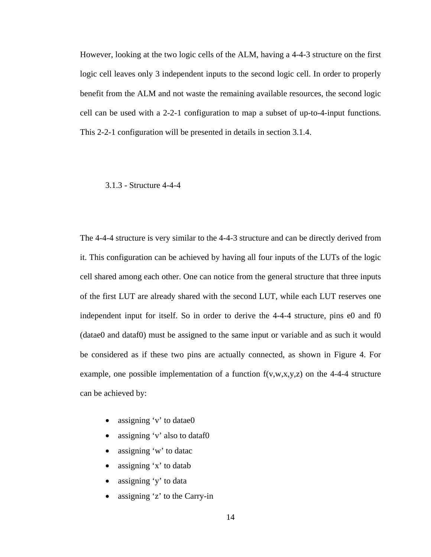However, looking at the two logic cells of the ALM, having a 4-4-3 structure on the first logic cell leaves only 3 independent inputs to the second logic cell. In order to properly benefit from the ALM and not waste the remaining available resources, the second logic cell can be used with a 2-2-1 configuration to map a subset of up-to-4-input functions. This 2-2-1 configuration will be presented in details in section 3.1.4.

#### 3.1.3 - Structure 4-4-4

The 4-4-4 structure is very similar to the 4-4-3 structure and can be directly derived from it. This configuration can be achieved by having all four inputs of the LUTs of the logic cell shared among each other. One can notice from the general structure that three inputs of the first LUT are already shared with the second LUT, while each LUT reserves one independent input for itself. So in order to derive the 4-4-4 structure, pins e0 and f0 (datae0 and dataf0) must be assigned to the same input or variable and as such it would be considered as if these two pins are actually connected, as shown in Figure 4. For example, one possible implementation of a function  $f(v, w, x, y, z)$  on the 4-4-4 structure can be achieved by:

- assigning 'v' to datae0
- assigning 'v' also to dataf0
- assigning 'w' to datac
- assigning  $x'$  to datab
- assigning  $\forall$  to data
- assigning 'z' to the Carry-in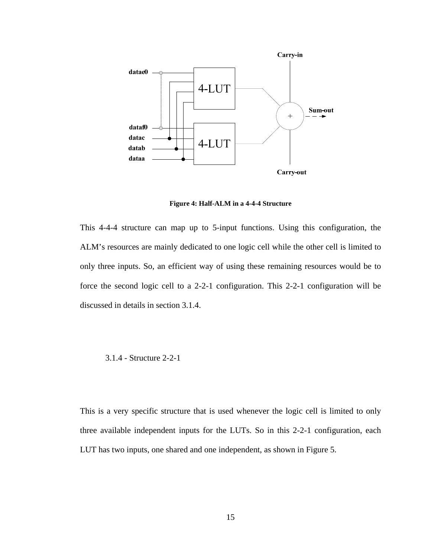

**Figure 4: Half-ALM in a 4-4-4 Structure** 

This 4-4-4 structure can map up to 5-input functions. Using this configuration, the ALM's resources are mainly dedicated to one logic cell while the other cell is limited to only three inputs. So, an efficient way of using these remaining resources would be to force the second logic cell to a 2-2-1 configuration. This 2-2-1 configuration will be discussed in details in section 3.1.4.

3.1.4 - Structure 2-2-1

This is a very specific structure that is used whenever the logic cell is limited to only three available independent inputs for the LUTs. So in this 2-2-1 configuration, each LUT has two inputs, one shared and one independent, as shown in Figure 5.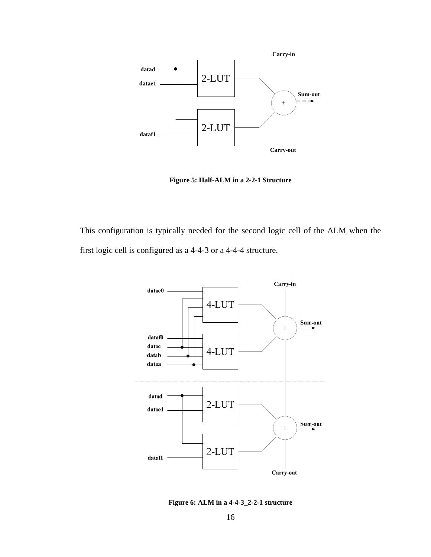

**Figure 5: Half-ALM in a 2-2-1 Structure** 

This configuration is typically needed for the second logic cell of the ALM when the first logic cell is configured as a 4-4-3 or a 4-4-4 structure.



**Figure 6: ALM in a 4-4-3\_2-2-1 structure**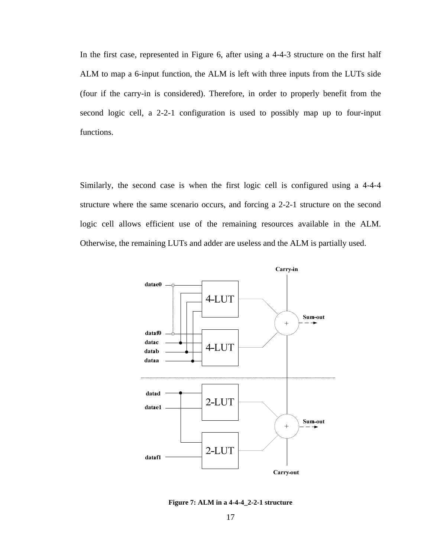In the first case, represented in Figure 6, after using a 4-4-3 structure on the first half ALM to map a 6-input function, the ALM is left with three inputs from the LUTs side (four if the carry-in is considered). Therefore, in order to properly benefit from the second logic cell, a 2-2-1 configuration is used to possibly map up to four-input functions.

Similarly, the second case is when the first logic cell is configured using a 4-4-4 structure where the same scenario occurs, and forcing a 2-2-1 structure on the second logic cell allows efficient use of the remaining resources available in the ALM. Otherwise, the remaining LUTs and adder are useless and the ALM is partially used.



**Figure 7: ALM in a 4-4-4\_2-2-1 structure**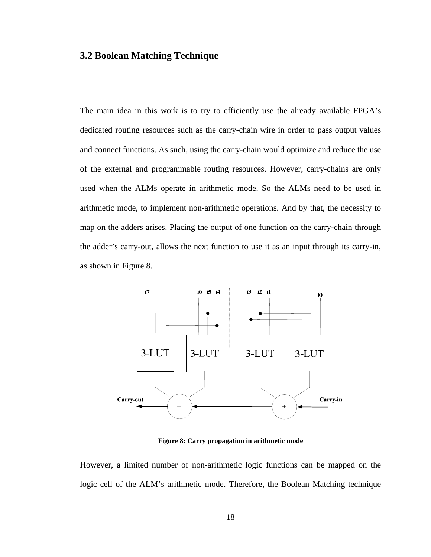#### **3.2 Boolean Matching Technique**

The main idea in this work is to try to efficiently use the already available FPGA's dedicated routing resources such as the carry-chain wire in order to pass output values and connect functions. As such, using the carry-chain would optimize and reduce the use of the external and programmable routing resources. However, carry-chains are only used when the ALMs operate in arithmetic mode. So the ALMs need to be used in arithmetic mode, to implement non-arithmetic operations. And by that, the necessity to map on the adders arises. Placing the output of one function on the carry-chain through the adder's carry-out, allows the next function to use it as an input through its carry-in, as shown in Figure 8.



**Figure 8: Carry propagation in arithmetic mode** 

However, a limited number of non-arithmetic logic functions can be mapped on the logic cell of the ALM's arithmetic mode. Therefore, the Boolean Matching technique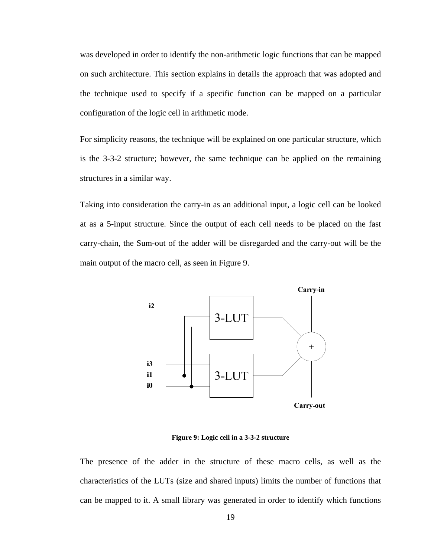was developed in order to identify the non-arithmetic logic functions that can be mapped on such architecture. This section explains in details the approach that was adopted and the technique used to specify if a specific function can be mapped on a particular configuration of the logic cell in arithmetic mode.

For simplicity reasons, the technique will be explained on one particular structure, which is the 3-3-2 structure; however, the same technique can be applied on the remaining structures in a similar way.

Taking into consideration the carry-in as an additional input, a logic cell can be looked at as a 5-input structure. Since the output of each cell needs to be placed on the fast carry-chain, the Sum-out of the adder will be disregarded and the carry-out will be the main output of the macro cell, as seen in Figure 9.



**Figure 9: Logic cell in a 3-3-2 structure** 

The presence of the adder in the structure of these macro cells, as well as the characteristics of the LUTs (size and shared inputs) limits the number of functions that can be mapped to it. A small library was generated in order to identify which functions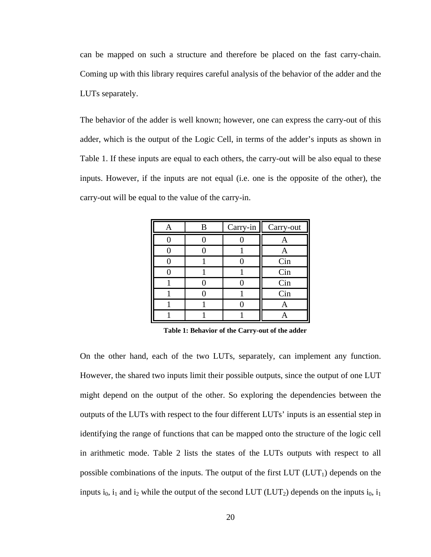can be mapped on such a structure and therefore be placed on the fast carry-chain. Coming up with this library requires careful analysis of the behavior of the adder and the LUTs separately.

The behavior of the adder is well known; however, one can express the carry-out of this adder, which is the output of the Logic Cell, in terms of the adder's inputs as shown in Table 1. If these inputs are equal to each others, the carry-out will be also equal to these inputs. However, if the inputs are not equal (i.e. one is the opposite of the other), the carry-out will be equal to the value of the carry-in.

| R | $Carry-in$ | Carry-out |
|---|------------|-----------|
|   |            | А         |
|   |            | A         |
|   |            | Cin       |
|   |            | Cin       |
|   |            | Cin       |
|   |            | Cin       |
|   |            |           |
|   |            |           |

**Table 1: Behavior of the Carry-out of the adder** 

On the other hand, each of the two LUTs, separately, can implement any function. However, the shared two inputs limit their possible outputs, since the output of one LUT might depend on the output of the other. So exploring the dependencies between the outputs of the LUTs with respect to the four different LUTs' inputs is an essential step in identifying the range of functions that can be mapped onto the structure of the logic cell in arithmetic mode. Table 2 lists the states of the LUTs outputs with respect to all possible combinations of the inputs. The output of the first  $LUT (LUT_1)$  depends on the inputs  $i_0$ ,  $i_1$  and  $i_2$  while the output of the second LUT (LUT<sub>2</sub>) depends on the inputs  $i_0$ ,  $i_1$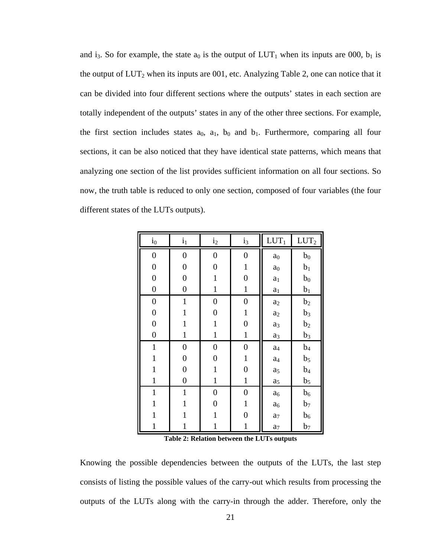and i<sub>3</sub>. So for example, the state  $a_0$  is the output of  $LUT_1$  when its inputs are 000,  $b_1$  is the output of  $LUT_2$  when its inputs are 001, etc. Analyzing Table 2, one can notice that it can be divided into four different sections where the outputs' states in each section are totally independent of the outputs' states in any of the other three sections. For example, the first section includes states  $a_0$ ,  $a_1$ ,  $b_0$  and  $b_1$ . Furthermore, comparing all four sections, it can be also noticed that they have identical state patterns, which means that analyzing one section of the list provides sufficient information on all four sections. So now, the truth table is reduced to only one section, composed of four variables (the four different states of the LUTs outputs).

| $i_0$            | $i_1$            | i <sub>2</sub>   | $i_3$            | $LUT_1$        | $LUT_2$        |
|------------------|------------------|------------------|------------------|----------------|----------------|
| $\overline{0}$   | $\boldsymbol{0}$ | $\boldsymbol{0}$ | $\boldsymbol{0}$ | a <sub>0</sub> | $b_0$          |
| $\boldsymbol{0}$ | $\boldsymbol{0}$ | $\boldsymbol{0}$ | $\mathbf{1}$     | $\mathbf{a}_0$ | b <sub>1</sub> |
| $\boldsymbol{0}$ | $\boldsymbol{0}$ | $\mathbf{1}$     | $\boldsymbol{0}$ | $a_1$          | $b_0$          |
| $\boldsymbol{0}$ | $\boldsymbol{0}$ | $\mathbf{1}$     | $\mathbf{1}$     | a <sub>1</sub> | $b_1$          |
| $\boldsymbol{0}$ | $\mathbf{1}$     | $\boldsymbol{0}$ | $\boldsymbol{0}$ | $a_2$          | b <sub>2</sub> |
| $\boldsymbol{0}$ | 1                | $\overline{0}$   | $\mathbf{1}$     | $a_2$          | $b_3$          |
| $\boldsymbol{0}$ | 1                | $\mathbf{1}$     | $\boldsymbol{0}$ | $a_3$          | b <sub>2</sub> |
| $\boldsymbol{0}$ | $\mathbf{1}$     | $\mathbf{1}$     | $\mathbf{1}$     | $a_3$          | $b_3$          |
| $\mathbf{1}$     | $\boldsymbol{0}$ | $\overline{0}$   | $\boldsymbol{0}$ | a <sub>4</sub> | $b_4$          |
| $\mathbf 1$      | $\boldsymbol{0}$ | $\overline{0}$   | $\mathbf{1}$     | a <sub>4</sub> | $b_5$          |
| 1                | $\boldsymbol{0}$ | 1                | 0                | a <sub>5</sub> | $b_4$          |
| 1                | $\boldsymbol{0}$ | $\mathbf{1}$     | $\mathbf{1}$     | a <sub>5</sub> | $b_5$          |
| $\mathbf{1}$     | $\mathbf{1}$     | $\boldsymbol{0}$ | $\boldsymbol{0}$ | a <sub>6</sub> | b <sub>6</sub> |
| 1                | $\mathbf 1$      | $\boldsymbol{0}$ | $\mathbf{1}$     | a <sub>6</sub> | b <sub>7</sub> |
| 1                | 1                | $\mathbf 1$      | $\boldsymbol{0}$ | $a_7$          | b <sub>6</sub> |
| 1                | 1                | $\mathbf{1}$     | $\mathbf{1}$     | a <sub>7</sub> | b <sub>7</sub> |

**Table 2: Relation between the LUTs outputs** 

Knowing the possible dependencies between the outputs of the LUTs, the last step consists of listing the possible values of the carry-out which results from processing the outputs of the LUTs along with the carry-in through the adder. Therefore, only the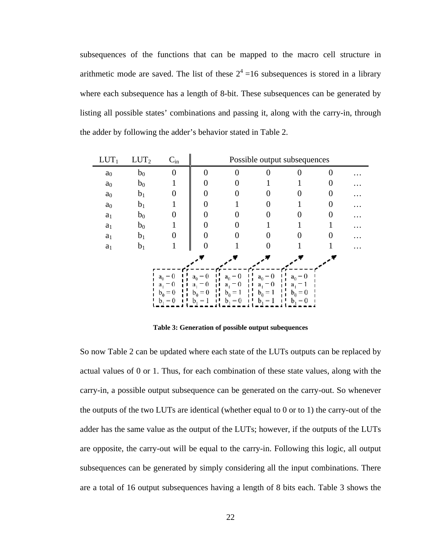subsequences of the functions that can be mapped to the macro cell structure in arithmetic mode are saved. The list of these  $2^4$  =16 subsequences is stored in a library where each subsequence has a length of 8-bit. These subsequences can be generated by listing all possible states' combinations and passing it, along with the carry-in, through the adder by following the adder's behavior stated in Table 2.

| $LUT_1$        | $LUT_2$        | $C_{in}$                                    |                                               | Possible output subsequences        |                                          |                              |   |  |
|----------------|----------------|---------------------------------------------|-----------------------------------------------|-------------------------------------|------------------------------------------|------------------------------|---|--|
| $\mathbf{a}_0$ | $b_0$          | 0                                           | 0                                             | $\Omega$                            |                                          |                              | 0 |  |
| $\mathbf{a}_0$ | $b_0$          |                                             |                                               |                                     |                                          |                              |   |  |
| $\mathbf{a}_0$ | b <sub>1</sub> |                                             |                                               |                                     |                                          |                              |   |  |
| a <sub>0</sub> | b <sub>1</sub> |                                             |                                               |                                     |                                          |                              | 0 |  |
| $\mathbf{a}_1$ | $b_0$          |                                             |                                               |                                     |                                          |                              |   |  |
| $\mathbf{a}_1$ | $b_0$          |                                             |                                               |                                     |                                          |                              |   |  |
| $\mathbf{a}_1$ | b <sub>1</sub> |                                             |                                               |                                     |                                          |                              |   |  |
| $\mathbf{a}_1$ | b <sub>1</sub> |                                             |                                               |                                     |                                          |                              |   |  |
|                |                |                                             |                                               |                                     |                                          |                              |   |  |
|                |                | $a_0 = 0$<br>$\theta$<br>$a_1$<br>$b_0 = 0$ | $a_0 = 0$<br>$\theta$<br>а.<br>$= 0$<br>$b_0$ | $a_0 = 0$<br>- 0<br>а.<br>$b_0 = 1$ | $a_0 = 0$<br>- 0<br>$a_{1}$<br>$b_0 = 1$ | $a_0 = 0$<br>а,<br>$b_0 = 0$ |   |  |
|                |                | $b_1 = 0$                                   |                                               | $= 0$                               | =                                        | $= 0$                        |   |  |

**Table 3: Generation of possible output subequences** 

So now Table 2 can be updated where each state of the LUTs outputs can be replaced by actual values of 0 or 1. Thus, for each combination of these state values, along with the carry-in, a possible output subsequence can be generated on the carry-out. So whenever the outputs of the two LUTs are identical (whether equal to 0 or to 1) the carry-out of the adder has the same value as the output of the LUTs; however, if the outputs of the LUTs are opposite, the carry-out will be equal to the carry-in. Following this logic, all output subsequences can be generated by simply considering all the input combinations. There are a total of 16 output subsequences having a length of 8 bits each. Table 3 shows the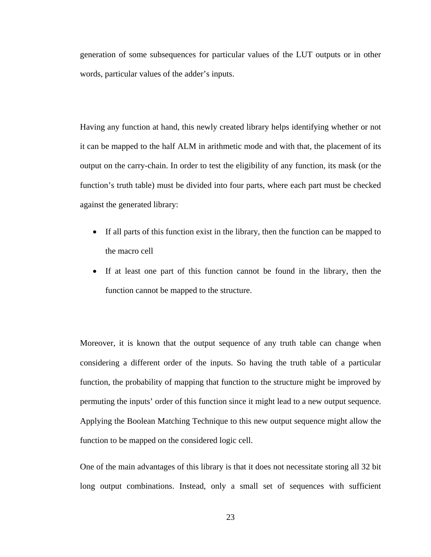generation of some subsequences for particular values of the LUT outputs or in other words, particular values of the adder's inputs.

Having any function at hand, this newly created library helps identifying whether or not it can be mapped to the half ALM in arithmetic mode and with that, the placement of its output on the carry-chain. In order to test the eligibility of any function, its mask (or the function's truth table) must be divided into four parts, where each part must be checked against the generated library:

- If all parts of this function exist in the library, then the function can be mapped to the macro cell
- If at least one part of this function cannot be found in the library, then the function cannot be mapped to the structure.

Moreover, it is known that the output sequence of any truth table can change when considering a different order of the inputs. So having the truth table of a particular function, the probability of mapping that function to the structure might be improved by permuting the inputs' order of this function since it might lead to a new output sequence. Applying the Boolean Matching Technique to this new output sequence might allow the function to be mapped on the considered logic cell.

One of the main advantages of this library is that it does not necessitate storing all 32 bit long output combinations. Instead, only a small set of sequences with sufficient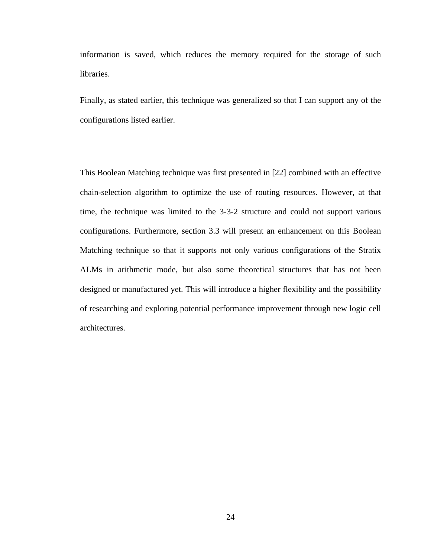information is saved, which reduces the memory required for the storage of such libraries.

Finally, as stated earlier, this technique was generalized so that I can support any of the configurations listed earlier.

This Boolean Matching technique was first presented in [22] combined with an effective chain-selection algorithm to optimize the use of routing resources. However, at that time, the technique was limited to the 3-3-2 structure and could not support various configurations. Furthermore, section 3.3 will present an enhancement on this Boolean Matching technique so that it supports not only various configurations of the Stratix ALMs in arithmetic mode, but also some theoretical structures that has not been designed or manufactured yet. This will introduce a higher flexibility and the possibility of researching and exploring potential performance improvement through new logic cell architectures.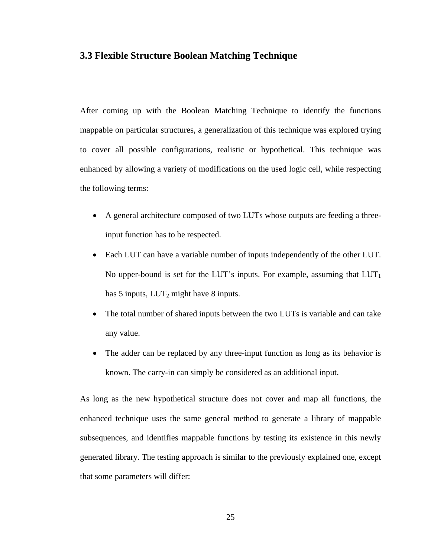## **3.3 Flexible Structure Boolean Matching Technique**

After coming up with the Boolean Matching Technique to identify the functions mappable on particular structures, a generalization of this technique was explored trying to cover all possible configurations, realistic or hypothetical. This technique was enhanced by allowing a variety of modifications on the used logic cell, while respecting the following terms:

- A general architecture composed of two LUTs whose outputs are feeding a threeinput function has to be respected.
- Each LUT can have a variable number of inputs independently of the other LUT. No upper-bound is set for the LUT's inputs. For example, assuming that  $LUT_1$ has 5 inputs,  $LUT_2$  might have 8 inputs.
- The total number of shared inputs between the two LUTs is variable and can take any value.
- The adder can be replaced by any three-input function as long as its behavior is known. The carry-in can simply be considered as an additional input.

As long as the new hypothetical structure does not cover and map all functions, the enhanced technique uses the same general method to generate a library of mappable subsequences, and identifies mappable functions by testing its existence in this newly generated library. The testing approach is similar to the previously explained one, except that some parameters will differ: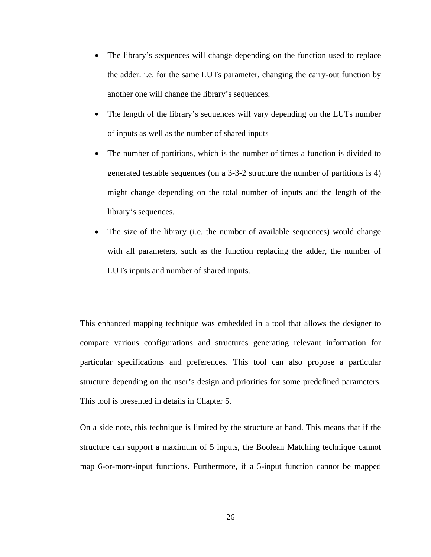- The library's sequences will change depending on the function used to replace the adder. i.e. for the same LUTs parameter, changing the carry-out function by another one will change the library's sequences.
- The length of the library's sequences will vary depending on the LUTs number of inputs as well as the number of shared inputs
- The number of partitions, which is the number of times a function is divided to generated testable sequences (on a 3-3-2 structure the number of partitions is 4) might change depending on the total number of inputs and the length of the library's sequences.
- The size of the library (i.e. the number of available sequences) would change with all parameters, such as the function replacing the adder, the number of LUTs inputs and number of shared inputs.

This enhanced mapping technique was embedded in a tool that allows the designer to compare various configurations and structures generating relevant information for particular specifications and preferences. This tool can also propose a particular structure depending on the user's design and priorities for some predefined parameters. This tool is presented in details in Chapter 5.

On a side note, this technique is limited by the structure at hand. This means that if the structure can support a maximum of 5 inputs, the Boolean Matching technique cannot map 6-or-more-input functions. Furthermore, if a 5-input function cannot be mapped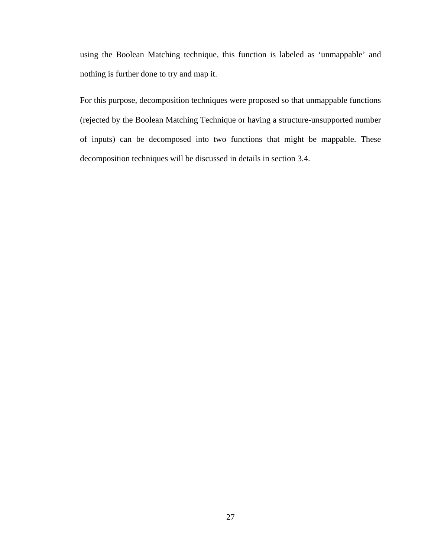using the Boolean Matching technique, this function is labeled as 'unmappable' and nothing is further done to try and map it.

For this purpose, decomposition techniques were proposed so that unmappable functions (rejected by the Boolean Matching Technique or having a structure-unsupported number of inputs) can be decomposed into two functions that might be mappable. These decomposition techniques will be discussed in details in section 3.4.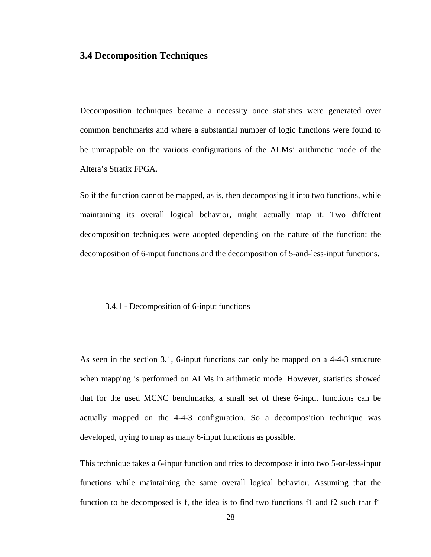# **3.4 Decomposition Techniques**

Decomposition techniques became a necessity once statistics were generated over common benchmarks and where a substantial number of logic functions were found to be unmappable on the various configurations of the ALMs' arithmetic mode of the Altera's Stratix FPGA.

So if the function cannot be mapped, as is, then decomposing it into two functions, while maintaining its overall logical behavior, might actually map it. Two different decomposition techniques were adopted depending on the nature of the function: the decomposition of 6-input functions and the decomposition of 5-and-less-input functions.

#### 3.4.1 - Decomposition of 6-input functions

As seen in the section 3.1, 6-input functions can only be mapped on a 4-4-3 structure when mapping is performed on ALMs in arithmetic mode. However, statistics showed that for the used MCNC benchmarks, a small set of these 6-input functions can be actually mapped on the 4-4-3 configuration. So a decomposition technique was developed, trying to map as many 6-input functions as possible.

This technique takes a 6-input function and tries to decompose it into two 5-or-less-input functions while maintaining the same overall logical behavior. Assuming that the function to be decomposed is f, the idea is to find two functions f1 and f2 such that f1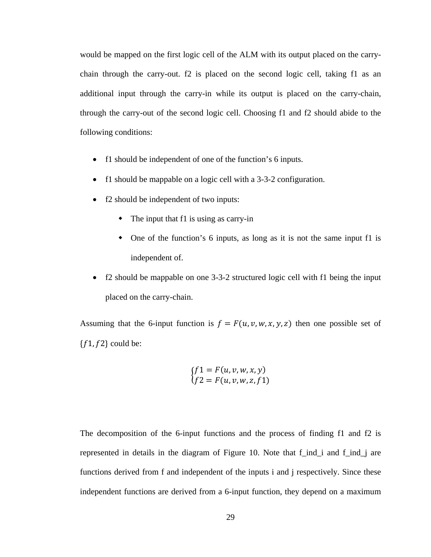would be mapped on the first logic cell of the ALM with its output placed on the carrychain through the carry-out. f2 is placed on the second logic cell, taking f1 as an additional input through the carry-in while its output is placed on the carry-chain, through the carry-out of the second logic cell. Choosing f1 and f2 should abide to the following conditions:

- f1 should be independent of one of the function's 6 inputs.
- f1 should be mappable on a logic cell with a 3-3-2 configuration.
- f2 should be independent of two inputs:
	- The input that f1 is using as carry-in
	- One of the function's 6 inputs, as long as it is not the same input f1 is independent of.
- f2 should be mappable on one 3-3-2 structured logic cell with f1 being the input placed on the carry-chain.

Assuming that the 6-input function is  $f = F(u, v, w, x, y, z)$  then one possible set of  ${f1, f2}$  could be:

$$
\begin{cases}\nf1 = F(u, v, w, x, y) \\
f2 = F(u, v, w, z, f1)\n\end{cases}
$$

The decomposition of the 6-input functions and the process of finding f1 and f2 is represented in details in the diagram of Figure 10. Note that f\_ind\_i and f\_ind\_j are functions derived from f and independent of the inputs i and j respectively. Since these independent functions are derived from a 6-input function, they depend on a maximum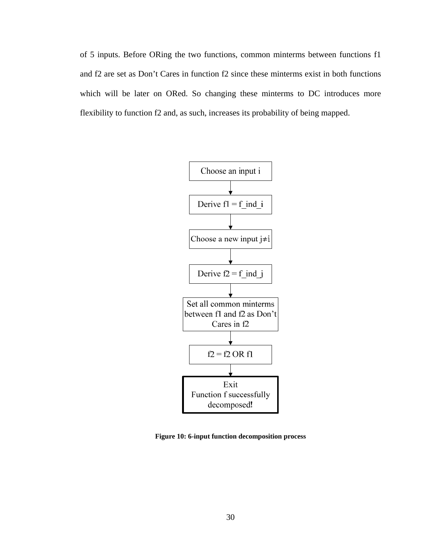of 5 inputs. Before ORing the two functions, common minterms between functions f1 and f2 are set as Don't Cares in function f2 since these minterms exist in both functions which will be later on ORed. So changing these minterms to DC introduces more flexibility to function f2 and, as such, increases its probability of being mapped.



**Figure 10: 6-input function decomposition process**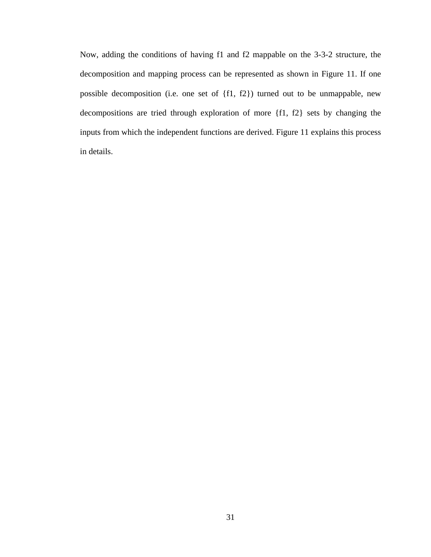Now, adding the conditions of having f1 and f2 mappable on the 3-3-2 structure, the decomposition and mapping process can be represented as shown in Figure 11. If one possible decomposition (i.e. one set of {f1, f2}) turned out to be unmappable, new decompositions are tried through exploration of more {f1, f2} sets by changing the inputs from which the independent functions are derived. Figure 11 explains this process in details.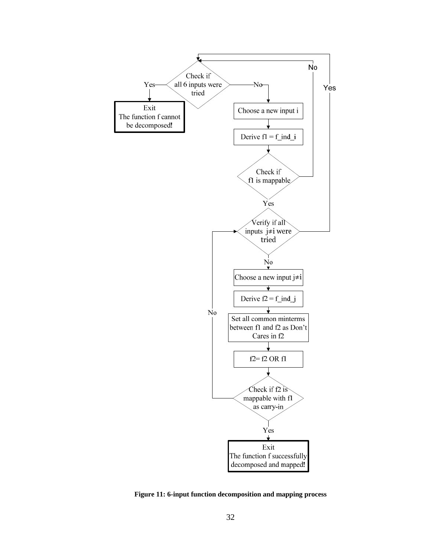

**Figure 11: 6-input function decomposition and mapping process**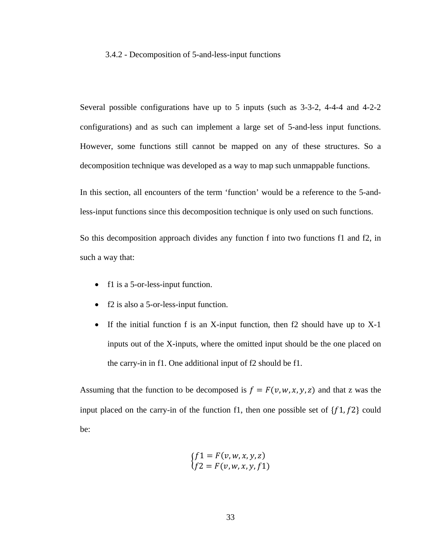#### 3.4.2 - Decomposition of 5-and-less-input functions

Several possible configurations have up to 5 inputs (such as 3-3-2, 4-4-4 and 4-2-2 configurations) and as such can implement a large set of 5-and-less input functions. However, some functions still cannot be mapped on any of these structures. So a decomposition technique was developed as a way to map such unmappable functions.

In this section, all encounters of the term 'function' would be a reference to the 5-andless-input functions since this decomposition technique is only used on such functions.

So this decomposition approach divides any function f into two functions f1 and f2, in such a way that:

- f1 is a 5-or-less-input function.
- f2 is also a 5-or-less-input function.
- If the initial function f is an X-input function, then f2 should have up to X-1 inputs out of the X-inputs, where the omitted input should be the one placed on the carry-in in f1. One additional input of f2 should be f1.

Assuming that the function to be decomposed is  $f = F(v, w, x, y, z)$  and that z was the input placed on the carry-in of the function f1, then one possible set of  $\{f1, f2\}$  could be:

$$
\begin{cases}\nf1 = F(v, w, x, y, z) \\
f2 = F(v, w, x, y, f1)\n\end{cases}
$$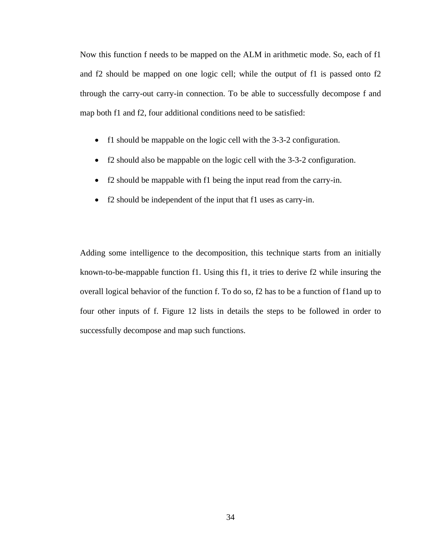Now this function f needs to be mapped on the ALM in arithmetic mode. So, each of f1 and f2 should be mapped on one logic cell; while the output of f1 is passed onto f2 through the carry-out carry-in connection. To be able to successfully decompose f and map both f1 and f2, four additional conditions need to be satisfied:

- f1 should be mappable on the logic cell with the 3-3-2 configuration.
- f2 should also be mappable on the logic cell with the 3-3-2 configuration.
- f2 should be mappable with f1 being the input read from the carry-in.
- f2 should be independent of the input that f1 uses as carry-in.

Adding some intelligence to the decomposition, this technique starts from an initially known-to-be-mappable function f1. Using this f1, it tries to derive f2 while insuring the overall logical behavior of the function f. To do so, f2 has to be a function of f1and up to four other inputs of f. Figure 12 lists in details the steps to be followed in order to successfully decompose and map such functions.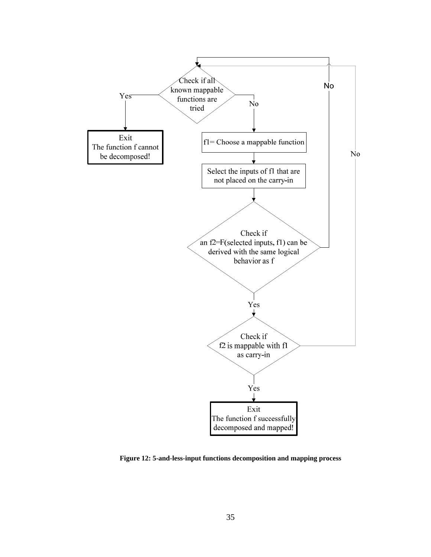

**Figure 12: 5-and-less-input functions decomposition and mapping process**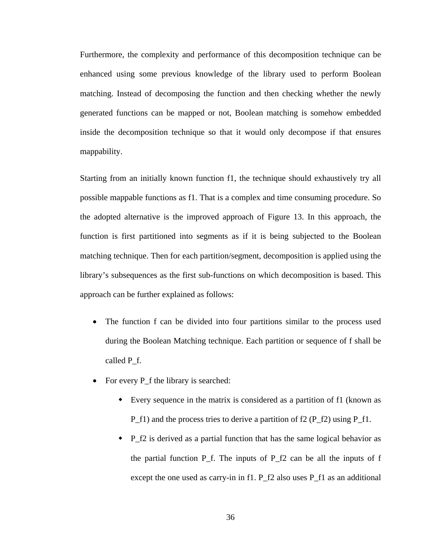Furthermore, the complexity and performance of this decomposition technique can be enhanced using some previous knowledge of the library used to perform Boolean matching. Instead of decomposing the function and then checking whether the newly generated functions can be mapped or not, Boolean matching is somehow embedded inside the decomposition technique so that it would only decompose if that ensures mappability.

Starting from an initially known function f1, the technique should exhaustively try all possible mappable functions as f1. That is a complex and time consuming procedure. So the adopted alternative is the improved approach of Figure 13. In this approach, the function is first partitioned into segments as if it is being subjected to the Boolean matching technique. Then for each partition/segment, decomposition is applied using the library's subsequences as the first sub-functions on which decomposition is based. This approach can be further explained as follows:

- The function f can be divided into four partitions similar to the process used during the Boolean Matching technique. Each partition or sequence of f shall be called P\_f.
- For every P\_f the library is searched:
	- Every sequence in the matrix is considered as a partition of f1 (known as  $P_f1$ ) and the process tries to derive a partition of f2 ( $P_f2$ ) using  $P_f1$ .
	- P f2 is derived as a partial function that has the same logical behavior as the partial function  $P_f$ . The inputs of  $P_f$ 2 can be all the inputs of f except the one used as carry-in in f1. P\_f2 also uses P\_f1 as an additional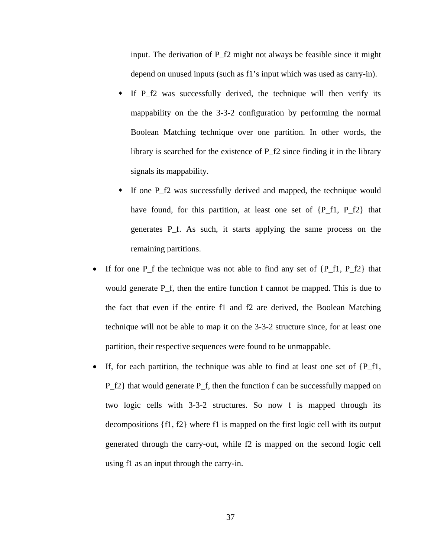input. The derivation of P\_f2 might not always be feasible since it might depend on unused inputs (such as f1's input which was used as carry-in).

- If P\_f2 was successfully derived, the technique will then verify its mappability on the the 3-3-2 configuration by performing the normal Boolean Matching technique over one partition. In other words, the library is searched for the existence of P\_f2 since finding it in the library signals its mappability.
- If one P f2 was successfully derived and mapped, the technique would have found, for this partition, at least one set of  ${P_f1, P_f2}$  that generates P\_f. As such, it starts applying the same process on the remaining partitions.
- If for one P\_f the technique was not able to find any set of  ${P_f1, P_f2}$  that would generate  $P_f$ , then the entire function f cannot be mapped. This is due to the fact that even if the entire f1 and f2 are derived, the Boolean Matching technique will not be able to map it on the 3-3-2 structure since, for at least one partition, their respective sequences were found to be unmappable.
- If, for each partition, the technique was able to find at least one set of  ${P_f1}$ , P\_f2} that would generate P\_f, then the function f can be successfully mapped on two logic cells with 3-3-2 structures. So now f is mapped through its decompositions {f1, f2} where f1 is mapped on the first logic cell with its output generated through the carry-out, while f2 is mapped on the second logic cell using f1 as an input through the carry-in.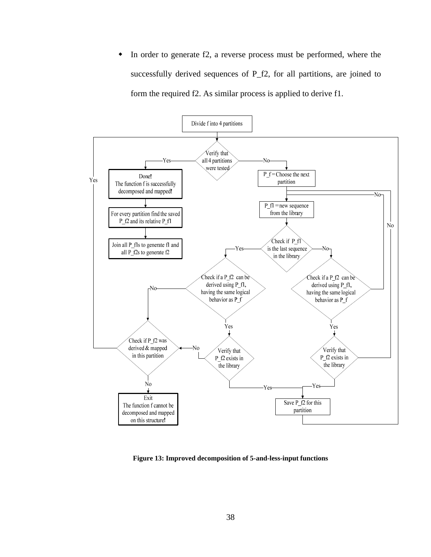• In order to generate f2, a reverse process must be performed, where the successfully derived sequences of P\_f2, for all partitions, are joined to form the required f2. As similar process is applied to derive f1.



**Figure 13: Improved decomposition of 5-and-less-input functions**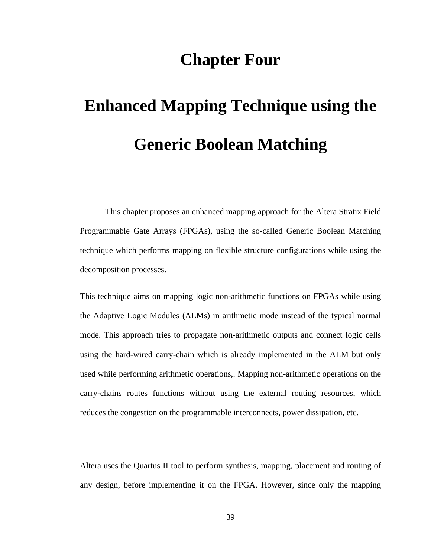# **Chapter Four**

# **Enhanced Mapping Technique using the Generic Boolean Matching**

This chapter proposes an enhanced mapping approach for the Altera Stratix Field Programmable Gate Arrays (FPGAs), using the so-called Generic Boolean Matching technique which performs mapping on flexible structure configurations while using the decomposition processes.

This technique aims on mapping logic non-arithmetic functions on FPGAs while using the Adaptive Logic Modules (ALMs) in arithmetic mode instead of the typical normal mode. This approach tries to propagate non-arithmetic outputs and connect logic cells using the hard-wired carry-chain which is already implemented in the ALM but only used while performing arithmetic operations,. Mapping non-arithmetic operations on the carry-chains routes functions without using the external routing resources, which reduces the congestion on the programmable interconnects, power dissipation, etc.

Altera uses the Quartus II tool to perform synthesis, mapping, placement and routing of any design, before implementing it on the FPGA. However, since only the mapping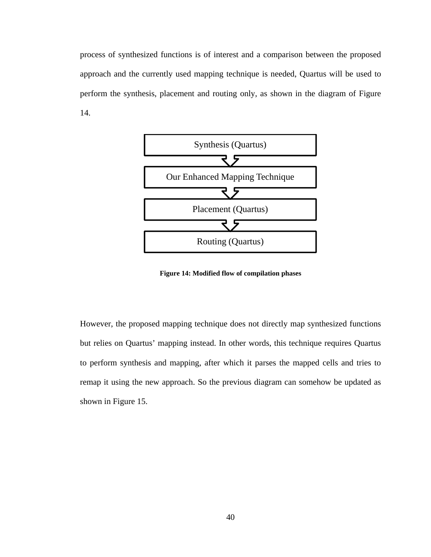process of synthesized functions is of interest and a comparison between the proposed approach and the currently used mapping technique is needed, Quartus will be used to perform the synthesis, placement and routing only, as shown in the diagram of Figure 14.



**Figure 14: Modified flow of compilation phases** 

However, the proposed mapping technique does not directly map synthesized functions but relies on Quartus' mapping instead. In other words, this technique requires Quartus to perform synthesis and mapping, after which it parses the mapped cells and tries to remap it using the new approach. So the previous diagram can somehow be updated as shown in Figure 15.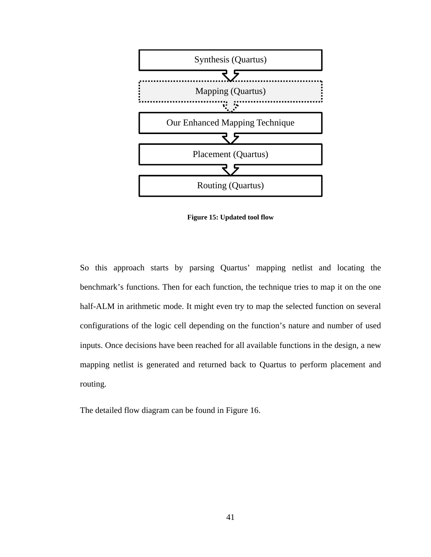

**Figure 15: Updated tool flow** 

So this approach starts by parsing Quartus' mapping netlist and locating the benchmark's functions. Then for each function, the technique tries to map it on the one half-ALM in arithmetic mode. It might even try to map the selected function on several configurations of the logic cell depending on the function's nature and number of used inputs. Once decisions have been reached for all available functions in the design, a new mapping netlist is generated and returned back to Quartus to perform placement and routing.

The detailed flow diagram can be found in Figure 16.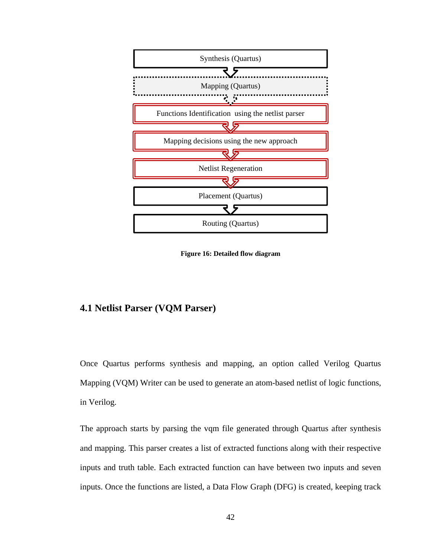

**Figure 16: Detailed flow diagram** 

# **4.1 Netlist Parser (VQM Parser)**

Once Quartus performs synthesis and mapping, an option called Verilog Quartus Mapping (VQM) Writer can be used to generate an atom-based netlist of logic functions, in Verilog.

The approach starts by parsing the vqm file generated through Quartus after synthesis and mapping. This parser creates a list of extracted functions along with their respective inputs and truth table. Each extracted function can have between two inputs and seven inputs. Once the functions are listed, a Data Flow Graph (DFG) is created, keeping track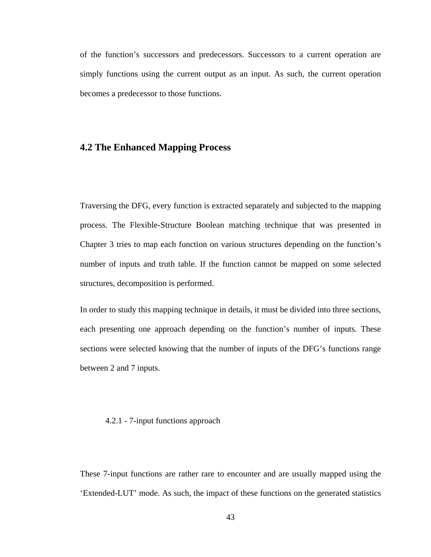of the function's successors and predecessors. Successors to a current operation are simply functions using the current output as an input. As such, the current operation becomes a predecessor to those functions.

## **4.2 The Enhanced Mapping Process**

Traversing the DFG, every function is extracted separately and subjected to the mapping process. The Flexible-Structure Boolean matching technique that was presented in Chapter 3 tries to map each function on various structures depending on the function's number of inputs and truth table. If the function cannot be mapped on some selected structures, decomposition is performed.

In order to study this mapping technique in details, it must be divided into three sections, each presenting one approach depending on the function's number of inputs. These sections were selected knowing that the number of inputs of the DFG's functions range between 2 and 7 inputs.

#### 4.2.1 - 7-input functions approach

These 7-input functions are rather rare to encounter and are usually mapped using the 'Extended-LUT' mode. As such, the impact of these functions on the generated statistics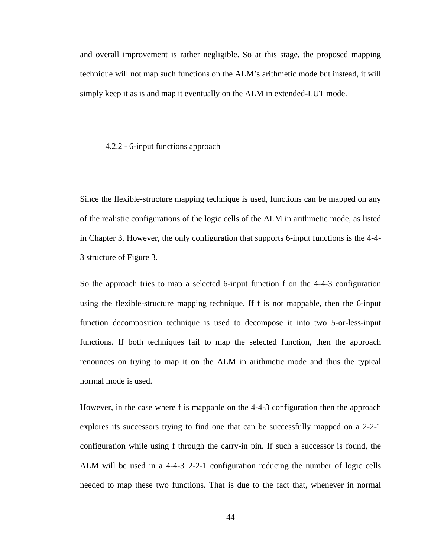and overall improvement is rather negligible. So at this stage, the proposed mapping technique will not map such functions on the ALM's arithmetic mode but instead, it will simply keep it as is and map it eventually on the ALM in extended-LUT mode.

#### 4.2.2 - 6-input functions approach

Since the flexible-structure mapping technique is used, functions can be mapped on any of the realistic configurations of the logic cells of the ALM in arithmetic mode, as listed in Chapter 3. However, the only configuration that supports 6-input functions is the 4-4- 3 structure of Figure 3.

So the approach tries to map a selected 6-input function f on the 4-4-3 configuration using the flexible-structure mapping technique. If f is not mappable, then the 6-input function decomposition technique is used to decompose it into two 5-or-less-input functions. If both techniques fail to map the selected function, then the approach renounces on trying to map it on the ALM in arithmetic mode and thus the typical normal mode is used.

However, in the case where f is mappable on the 4-4-3 configuration then the approach explores its successors trying to find one that can be successfully mapped on a 2-2-1 configuration while using f through the carry-in pin. If such a successor is found, the ALM will be used in a 4-4-3\_2-2-1 configuration reducing the number of logic cells needed to map these two functions. That is due to the fact that, whenever in normal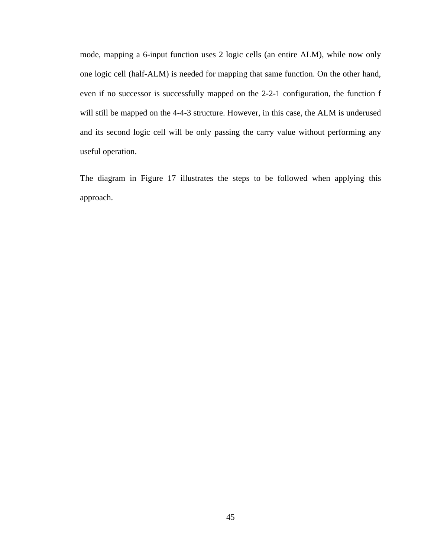mode, mapping a 6-input function uses 2 logic cells (an entire ALM), while now only one logic cell (half-ALM) is needed for mapping that same function. On the other hand, even if no successor is successfully mapped on the 2-2-1 configuration, the function f will still be mapped on the 4-4-3 structure. However, in this case, the ALM is underused and its second logic cell will be only passing the carry value without performing any useful operation.

The diagram in Figure 17 illustrates the steps to be followed when applying this approach.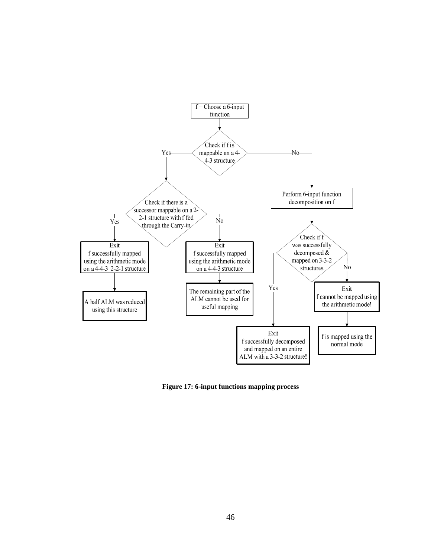

**Figure 17: 6-input functions mapping process**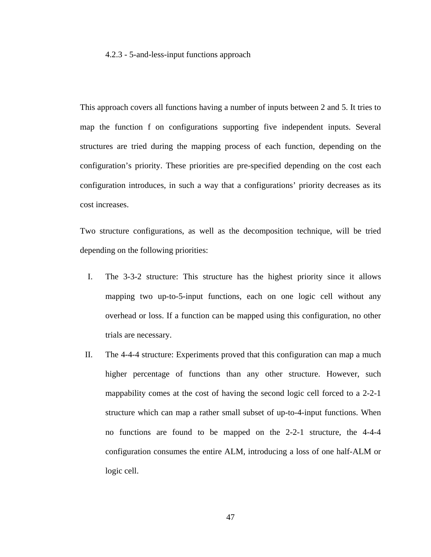#### 4.2.3 - 5-and-less-input functions approach

This approach covers all functions having a number of inputs between 2 and 5. It tries to map the function f on configurations supporting five independent inputs. Several structures are tried during the mapping process of each function, depending on the configuration's priority. These priorities are pre-specified depending on the cost each configuration introduces, in such a way that a configurations' priority decreases as its cost increases.

Two structure configurations, as well as the decomposition technique, will be tried depending on the following priorities:

- I. The 3-3-2 structure: This structure has the highest priority since it allows mapping two up-to-5-input functions, each on one logic cell without any overhead or loss. If a function can be mapped using this configuration, no other trials are necessary.
- II. The 4-4-4 structure: Experiments proved that this configuration can map a much higher percentage of functions than any other structure. However, such mappability comes at the cost of having the second logic cell forced to a 2-2-1 structure which can map a rather small subset of up-to-4-input functions. When no functions are found to be mapped on the 2-2-1 structure, the 4-4-4 configuration consumes the entire ALM, introducing a loss of one half-ALM or logic cell.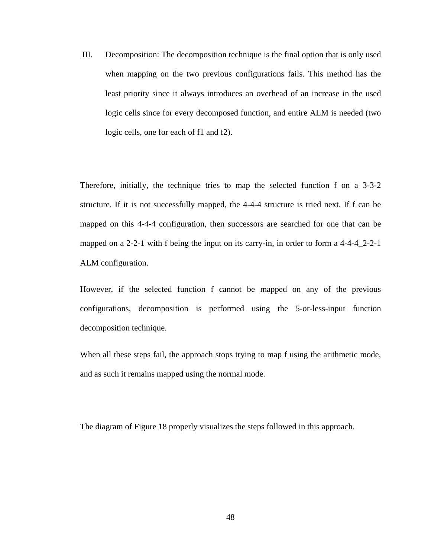III. Decomposition: The decomposition technique is the final option that is only used when mapping on the two previous configurations fails. This method has the least priority since it always introduces an overhead of an increase in the used logic cells since for every decomposed function, and entire ALM is needed (two logic cells, one for each of f1 and f2).

Therefore, initially, the technique tries to map the selected function f on a 3-3-2 structure. If it is not successfully mapped, the 4-4-4 structure is tried next. If f can be mapped on this 4-4-4 configuration, then successors are searched for one that can be mapped on a 2-2-1 with f being the input on its carry-in, in order to form a 4-4-4\_2-2-1 ALM configuration.

However, if the selected function f cannot be mapped on any of the previous configurations, decomposition is performed using the 5-or-less-input function decomposition technique.

When all these steps fail, the approach stops trying to map f using the arithmetic mode, and as such it remains mapped using the normal mode.

The diagram of Figure 18 properly visualizes the steps followed in this approach.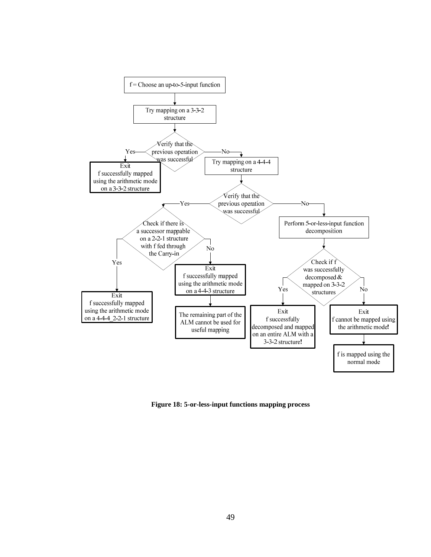

**Figure 18: 5-or-less-input functions mapping process**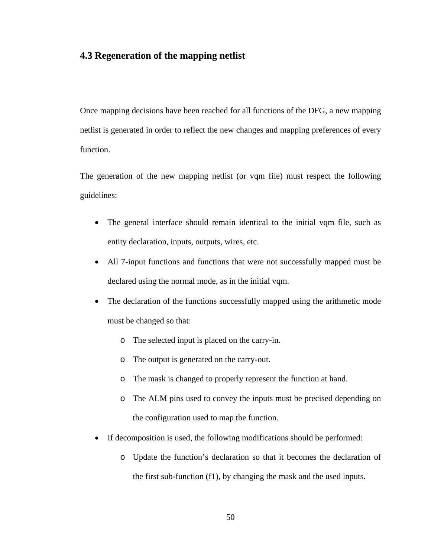# **4.3 Regeneration of the mapping netlist**

Once mapping decisions have been reached for all functions of the DFG, a new mapping netlist is generated in order to reflect the new changes and mapping preferences of every function.

The generation of the new mapping netlist (or vqm file) must respect the following guidelines:

- The general interface should remain identical to the initial vqm file, such as entity declaration, inputs, outputs, wires, etc.
- All 7-input functions and functions that were not successfully mapped must be declared using the normal mode, as in the initial vqm.
- The declaration of the functions successfully mapped using the arithmetic mode must be changed so that:
	- o The selected input is placed on the carry-in.
	- o The output is generated on the carry-out.
	- o The mask is changed to properly represent the function at hand.
	- o The ALM pins used to convey the inputs must be precised depending on the configuration used to map the function.
- If decomposition is used, the following modifications should be performed:
	- o Update the function's declaration so that it becomes the declaration of the first sub-function (f1), by changing the mask and the used inputs.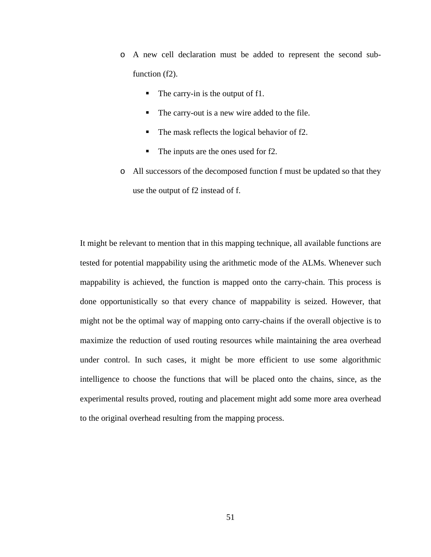- o A new cell declaration must be added to represent the second subfunction (f2).
	- $\blacksquare$  The carry-in is the output of f1.
	- The carry-out is a new wire added to the file.
	- The mask reflects the logical behavior of f2.
	- The inputs are the ones used for f2.
- o All successors of the decomposed function f must be updated so that they use the output of f2 instead of f.

It might be relevant to mention that in this mapping technique, all available functions are tested for potential mappability using the arithmetic mode of the ALMs. Whenever such mappability is achieved, the function is mapped onto the carry-chain. This process is done opportunistically so that every chance of mappability is seized. However, that might not be the optimal way of mapping onto carry-chains if the overall objective is to maximize the reduction of used routing resources while maintaining the area overhead under control. In such cases, it might be more efficient to use some algorithmic intelligence to choose the functions that will be placed onto the chains, since, as the experimental results proved, routing and placement might add some more area overhead to the original overhead resulting from the mapping process.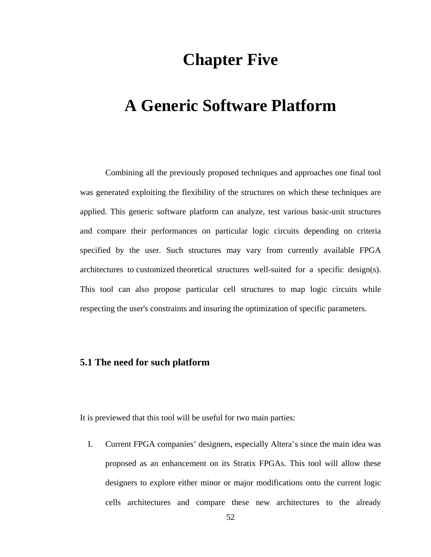# **Chapter Five**

# **A Generic Software Platform**

Combining all the previously proposed techniques and approaches one final tool was generated exploiting the flexibility of the structures on which these techniques are applied. This generic software platform can analyze, test various basic-unit structures and compare their performances on particular logic circuits depending on criteria specified by the user. Such structures may vary from currently available FPGA architectures to customized theoretical structures well-suited for a specific design(s). This tool can also propose particular cell structures to map logic circuits while respecting the user's constraints and insuring the optimization of specific parameters.

## **5.1 The need for such platform**

It is previewed that this tool will be useful for two main parties:

I. Current FPGA companies' designers, especially Altera's since the main idea was proposed as an enhancement on its Stratix FPGAs. This tool will allow these designers to explore either minor or major modifications onto the current logic cells architectures and compare these new architectures to the already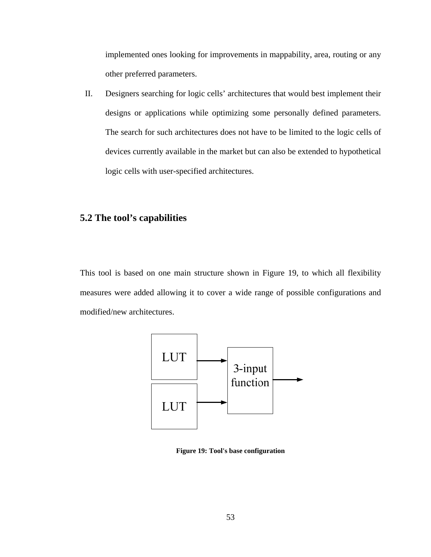implemented ones looking for improvements in mappability, area, routing or any other preferred parameters.

II. Designers searching for logic cells' architectures that would best implement their designs or applications while optimizing some personally defined parameters. The search for such architectures does not have to be limited to the logic cells of devices currently available in the market but can also be extended to hypothetical logic cells with user-specified architectures.

# **5.2 The tool's capabilities**

This tool is based on one main structure shown in Figure 19, to which all flexibility measures were added allowing it to cover a wide range of possible configurations and modified/new architectures.



**Figure 19: Tool's base configuration**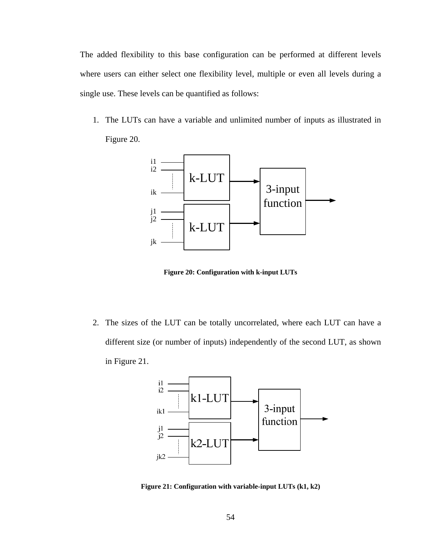The added flexibility to this base configuration can be performed at different levels where users can either select one flexibility level, multiple or even all levels during a single use. These levels can be quantified as follows:

1. The LUTs can have a variable and unlimited number of inputs as illustrated in Figure 20.



**Figure 20: Configuration with k-input LUTs** 

2. The sizes of the LUT can be totally uncorrelated, where each LUT can have a different size (or number of inputs) independently of the second LUT, as shown in Figure 21.



**Figure 21: Configuration with variable-input LUTs (k1, k2)**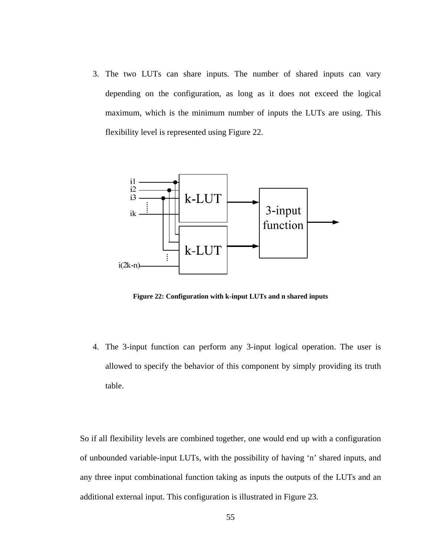3. The two LUTs can share inputs. The number of shared inputs can vary depending on the configuration, as long as it does not exceed the logical maximum, which is the minimum number of inputs the LUTs are using. This flexibility level is represented using Figure 22.



**Figure 22: Configuration with k-input LUTs and n shared inputs** 

4. The 3-input function can perform any 3-input logical operation. The user is allowed to specify the behavior of this component by simply providing its truth table.

So if all flexibility levels are combined together, one would end up with a configuration of unbounded variable-input LUTs, with the possibility of having 'n' shared inputs, and any three input combinational function taking as inputs the outputs of the LUTs and an additional external input. This configuration is illustrated in Figure 23.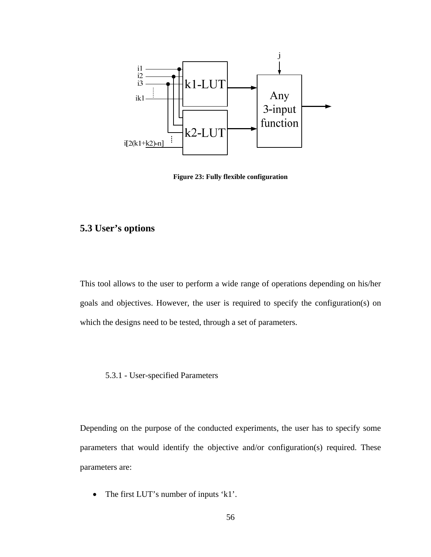

**Figure 23: Fully flexible configuration** 

## **5.3 User's options**

This tool allows to the user to perform a wide range of operations depending on his/her goals and objectives. However, the user is required to specify the configuration(s) on which the designs need to be tested, through a set of parameters.

#### 5.3.1 - User-specified Parameters

Depending on the purpose of the conducted experiments, the user has to specify some parameters that would identify the objective and/or configuration(s) required. These parameters are:

• The first LUT's number of inputs 'k1'.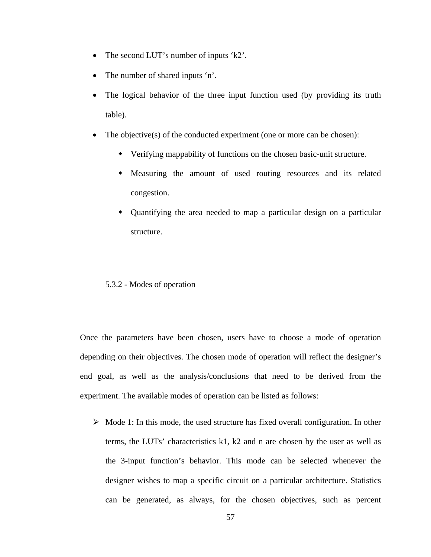- The second LUT's number of inputs 'k2'.
- The number of shared inputs 'n'.
- The logical behavior of the three input function used (by providing its truth table).
- The objective(s) of the conducted experiment (one or more can be chosen):
	- Verifying mappability of functions on the chosen basic-unit structure.
	- Measuring the amount of used routing resources and its related congestion.
	- Quantifying the area needed to map a particular design on a particular structure.

#### 5.3.2 - Modes of operation

Once the parameters have been chosen, users have to choose a mode of operation depending on their objectives. The chosen mode of operation will reflect the designer's end goal, as well as the analysis/conclusions that need to be derived from the experiment. The available modes of operation can be listed as follows:

 $\triangleright$  Mode 1: In this mode, the used structure has fixed overall configuration. In other terms, the LUTs' characteristics k1, k2 and n are chosen by the user as well as the 3-input function's behavior. This mode can be selected whenever the designer wishes to map a specific circuit on a particular architecture. Statistics can be generated, as always, for the chosen objectives, such as percent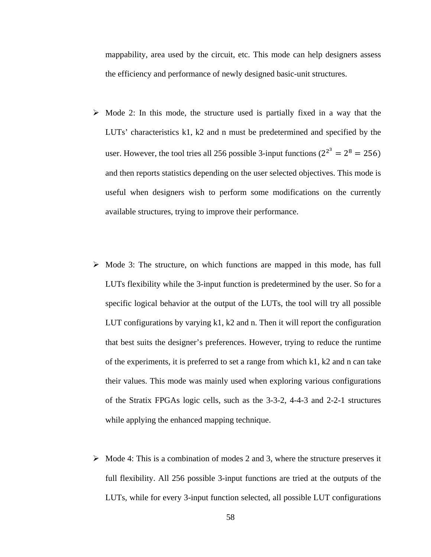mappability, area used by the circuit, etc. This mode can help designers assess the efficiency and performance of newly designed basic-unit structures.

- $\triangleright$  Mode 2: In this mode, the structure used is partially fixed in a way that the LUTs' characteristics k1, k2 and n must be predetermined and specified by the user. However, the tool tries all 256 possible 3-input functions ( $2^{2^3} = 2^8 = 256$ ) and then reports statistics depending on the user selected objectives. This mode is useful when designers wish to perform some modifications on the currently available structures, trying to improve their performance.
- $\triangleright$  Mode 3: The structure, on which functions are mapped in this mode, has full LUTs flexibility while the 3-input function is predetermined by the user. So for a specific logical behavior at the output of the LUTs, the tool will try all possible LUT configurations by varying k1, k2 and n. Then it will report the configuration that best suits the designer's preferences. However, trying to reduce the runtime of the experiments, it is preferred to set a range from which k1, k2 and n can take their values. This mode was mainly used when exploring various configurations of the Stratix FPGAs logic cells, such as the 3-3-2, 4-4-3 and 2-2-1 structures while applying the enhanced mapping technique.
- $\triangleright$  Mode 4: This is a combination of modes 2 and 3, where the structure preserves it full flexibility. All 256 possible 3-input functions are tried at the outputs of the LUTs, while for every 3-input function selected, all possible LUT configurations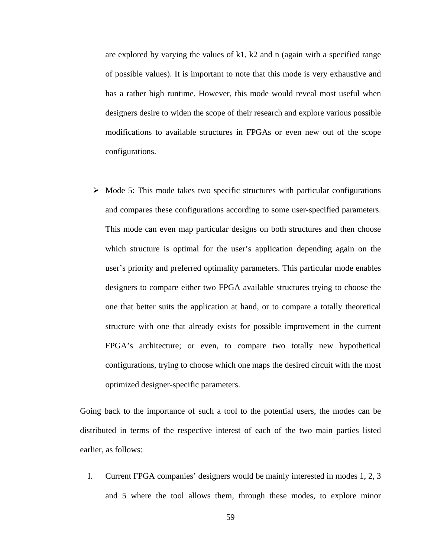are explored by varying the values of k1,  $k2$  and n (again with a specified range of possible values). It is important to note that this mode is very exhaustive and has a rather high runtime. However, this mode would reveal most useful when designers desire to widen the scope of their research and explore various possible modifications to available structures in FPGAs or even new out of the scope configurations.

 $\triangleright$  Mode 5: This mode takes two specific structures with particular configurations and compares these configurations according to some user-specified parameters. This mode can even map particular designs on both structures and then choose which structure is optimal for the user's application depending again on the user's priority and preferred optimality parameters. This particular mode enables designers to compare either two FPGA available structures trying to choose the one that better suits the application at hand, or to compare a totally theoretical structure with one that already exists for possible improvement in the current FPGA's architecture; or even, to compare two totally new hypothetical configurations, trying to choose which one maps the desired circuit with the most optimized designer-specific parameters.

Going back to the importance of such a tool to the potential users, the modes can be distributed in terms of the respective interest of each of the two main parties listed earlier, as follows:

I. Current FPGA companies' designers would be mainly interested in modes 1, 2, 3 and 5 where the tool allows them, through these modes, to explore minor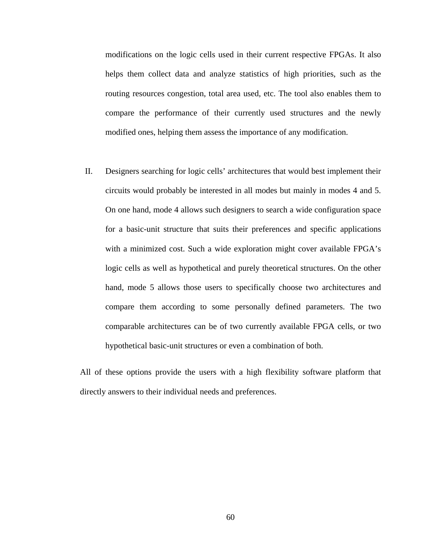modifications on the logic cells used in their current respective FPGAs. It also helps them collect data and analyze statistics of high priorities, such as the routing resources congestion, total area used, etc. The tool also enables them to compare the performance of their currently used structures and the newly modified ones, helping them assess the importance of any modification.

II. Designers searching for logic cells' architectures that would best implement their circuits would probably be interested in all modes but mainly in modes 4 and 5. On one hand, mode 4 allows such designers to search a wide configuration space for a basic-unit structure that suits their preferences and specific applications with a minimized cost. Such a wide exploration might cover available FPGA's logic cells as well as hypothetical and purely theoretical structures. On the other hand, mode 5 allows those users to specifically choose two architectures and compare them according to some personally defined parameters. The two comparable architectures can be of two currently available FPGA cells, or two hypothetical basic-unit structures or even a combination of both.

All of these options provide the users with a high flexibility software platform that directly answers to their individual needs and preferences.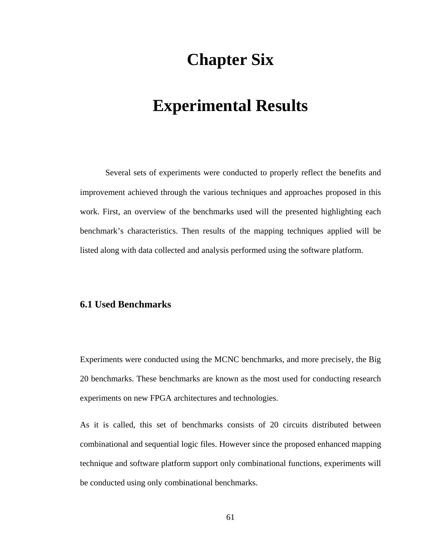# **Chapter Six**

### **Experimental Results**

Several sets of experiments were conducted to properly reflect the benefits and improvement achieved through the various techniques and approaches proposed in this work. First, an overview of the benchmarks used will the presented highlighting each benchmark's characteristics. Then results of the mapping techniques applied will be listed along with data collected and analysis performed using the software platform.

### **6.1 Used Benchmarks**

Experiments were conducted using the MCNC benchmarks, and more precisely, the Big 20 benchmarks. These benchmarks are known as the most used for conducting research experiments on new FPGA architectures and technologies.

As it is called, this set of benchmarks consists of 20 circuits distributed between combinational and sequential logic files. However since the proposed enhanced mapping technique and software platform support only combinational functions, experiments will be conducted using only combinational benchmarks.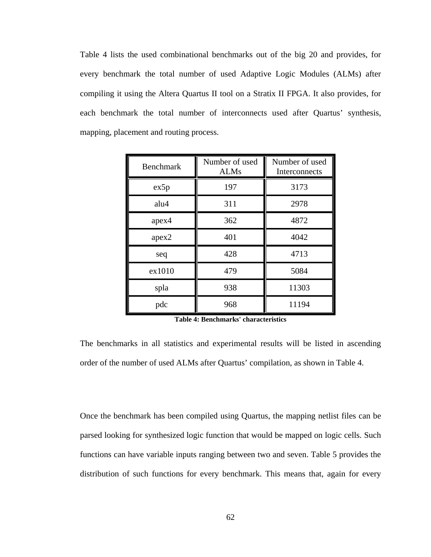Table 4 lists the used combinational benchmarks out of the big 20 and provides, for every benchmark the total number of used Adaptive Logic Modules (ALMs) after compiling it using the Altera Quartus II tool on a Stratix II FPGA. It also provides, for each benchmark the total number of interconnects used after Quartus' synthesis, mapping, placement and routing process.

| <b>Benchmark</b> | Number of used<br><b>ALMs</b> | Number of used<br>Interconnects |
|------------------|-------------------------------|---------------------------------|
| ex5p             | 197                           | 3173                            |
| alu4             | 311                           | 2978                            |
| apex4            | 362                           | 4872                            |
| apex2            | 401                           | 4042                            |
| seq              | 428                           | 4713                            |
| ex1010           | 479                           | 5084                            |
| spla             | 938                           | 11303                           |
| pdc              | 968                           | 11194                           |

**Table 4: Benchmarks' characteristics** 

The benchmarks in all statistics and experimental results will be listed in ascending order of the number of used ALMs after Quartus' compilation, as shown in Table 4.

Once the benchmark has been compiled using Quartus, the mapping netlist files can be parsed looking for synthesized logic function that would be mapped on logic cells. Such functions can have variable inputs ranging between two and seven. Table 5 provides the distribution of such functions for every benchmark. This means that, again for every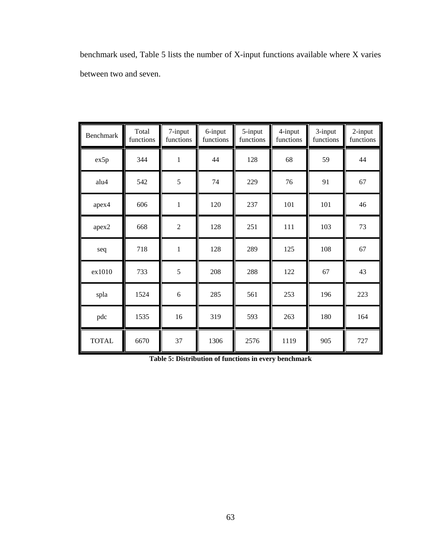benchmark used, Table 5 lists the number of X-input functions available where X varies between two and seven.

| Benchmark    | Total<br>functions | 7-input<br>functions | 6-input<br>functions | 5-input<br>functions | 4-input<br>functions | 3-input<br>functions | 2-input<br>functions |
|--------------|--------------------|----------------------|----------------------|----------------------|----------------------|----------------------|----------------------|
| ex5p         | 344                | $\mathbf{1}$         | 44                   | 128                  | 68                   | 59                   | 44                   |
| alu4         | 542                | 5                    | 74                   | 229                  | 76                   | 91                   | 67                   |
| apex4        | 606                | $\mathbf{1}$         | 120                  | 237                  | 101                  | 101                  | 46                   |
| apex2        | 668                | $\overline{2}$       | 128                  | 251                  | 111                  | 103                  | 73                   |
| seq          | 718                | $\mathbf{1}$         | 128                  | 289                  | 125                  | 108                  | 67                   |
| ex1010       | 733                | 5                    | 208                  | 288                  | 122                  | 67                   | 43                   |
| spla         | 1524               | 6                    | 285                  | 561                  | 253                  | 196                  | 223                  |
| pdc          | 1535               | 16                   | 319                  | 593                  | 263                  | 180                  | 164                  |
| <b>TOTAL</b> | 6670               | 37                   | 1306                 | 2576                 | 1119                 | 905                  | 727                  |

**Table 5: Distribution of functions in every benchmark**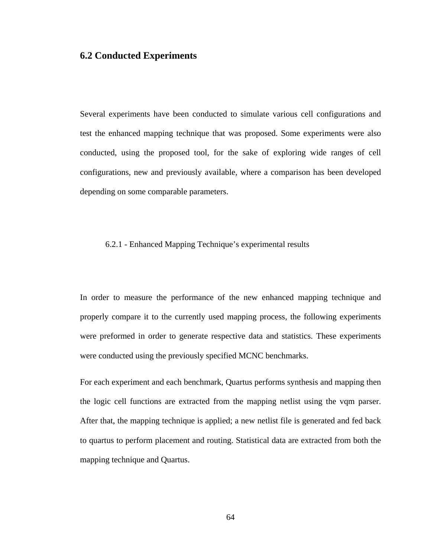### **6.2 Conducted Experiments**

Several experiments have been conducted to simulate various cell configurations and test the enhanced mapping technique that was proposed. Some experiments were also conducted, using the proposed tool, for the sake of exploring wide ranges of cell configurations, new and previously available, where a comparison has been developed depending on some comparable parameters.

#### 6.2.1 - Enhanced Mapping Technique's experimental results

In order to measure the performance of the new enhanced mapping technique and properly compare it to the currently used mapping process, the following experiments were preformed in order to generate respective data and statistics. These experiments were conducted using the previously specified MCNC benchmarks.

For each experiment and each benchmark, Quartus performs synthesis and mapping then the logic cell functions are extracted from the mapping netlist using the vqm parser. After that, the mapping technique is applied; a new netlist file is generated and fed back to quartus to perform placement and routing. Statistical data are extracted from both the mapping technique and Quartus.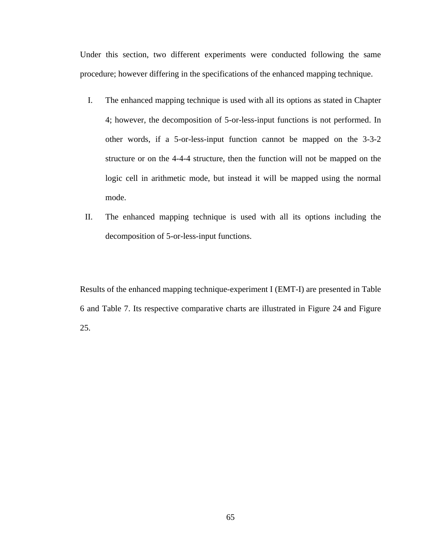Under this section, two different experiments were conducted following the same procedure; however differing in the specifications of the enhanced mapping technique.

- I. The enhanced mapping technique is used with all its options as stated in Chapter 4; however, the decomposition of 5-or-less-input functions is not performed. In other words, if a 5-or-less-input function cannot be mapped on the 3-3-2 structure or on the 4-4-4 structure, then the function will not be mapped on the logic cell in arithmetic mode, but instead it will be mapped using the normal mode.
- II. The enhanced mapping technique is used with all its options including the decomposition of 5-or-less-input functions.

Results of the enhanced mapping technique-experiment I (EMT-I) are presented in Table 6 and Table 7. Its respective comparative charts are illustrated in Figure 24 and Figure 25.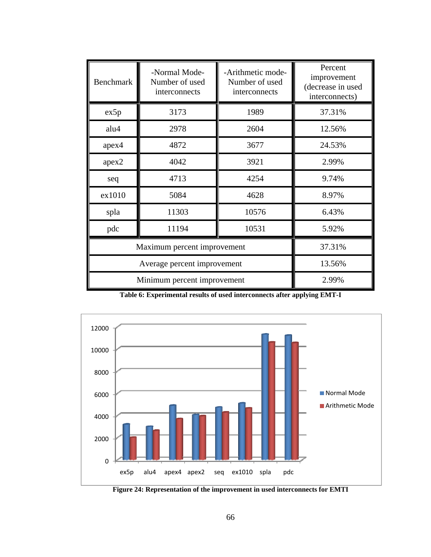| <b>Benchmark</b>            | -Normal Mode-<br>Number of used<br>interconnects | -Arithmetic mode-<br>Number of used<br>interconnects | Percent<br>improvement<br>(decrease in used<br>interconnects) |
|-----------------------------|--------------------------------------------------|------------------------------------------------------|---------------------------------------------------------------|
| ex5p                        | 3173                                             | 1989                                                 | 37.31%                                                        |
| alu4                        | 2978                                             | 2604                                                 | 12.56%                                                        |
| apex4                       | 4872                                             | 3677                                                 | 24.53%                                                        |
| apex2                       | 4042                                             | 3921                                                 | 2.99%                                                         |
| seq                         | 4713                                             | 4254                                                 | 9.74%                                                         |
| ex1010                      | 5084                                             | 4628                                                 | 8.97%                                                         |
| spla                        | 11303                                            | 10576                                                | 6.43%                                                         |
| pdc                         | 11194                                            | 10531                                                | 5.92%                                                         |
| Maximum percent improvement | 37.31%                                           |                                                      |                                                               |
|                             | 13.56%                                           |                                                      |                                                               |
| Minimum percent improvement | 2.99%                                            |                                                      |                                                               |

**Table 6: Experimental results of used interconnects after applying EMT-I** 



**Figure 24: Representation of the improvement in used interconnects for EMTI**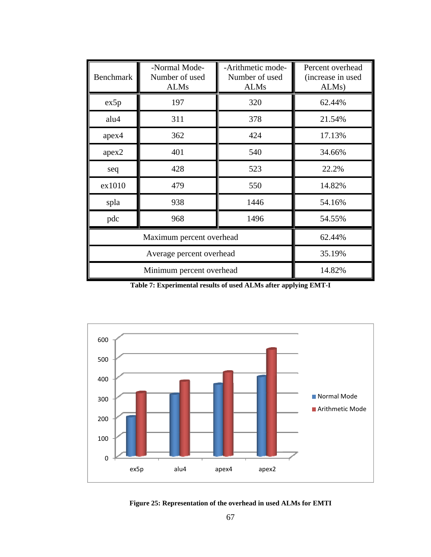| <b>Benchmark</b> | -Normal Mode-<br>Number of used<br><b>ALMs</b> | -Arithmetic mode-<br>Number of used<br><b>ALMs</b> | Percent overhead<br>(increase in used<br>ALM <sub>s</sub> ) |
|------------------|------------------------------------------------|----------------------------------------------------|-------------------------------------------------------------|
| ex5p             | 197                                            | 320                                                | 62.44%                                                      |
| alu4             | 311                                            | 378                                                | 21.54%                                                      |
| apex4            | 362                                            | 424                                                | 17.13%                                                      |
| apex2            | 401                                            | 540                                                | 34.66%                                                      |
| seq              | 428                                            | 523                                                | 22.2%                                                       |
| ex1010           | 479                                            | 550                                                | 14.82%                                                      |
| spla             | 938                                            | 1446                                               | 54.16%                                                      |
| pdc              | 968                                            | 1496                                               | 54.55%                                                      |
|                  | 62.44%                                         |                                                    |                                                             |
|                  | 35.19%                                         |                                                    |                                                             |
|                  | Minimum percent overhead                       |                                                    | 14.82%                                                      |

**Table 7: Experimental results of used ALMs after applying EMT-I** 



**Figure 25: Representation of the overhead in used ALMs for EMTI**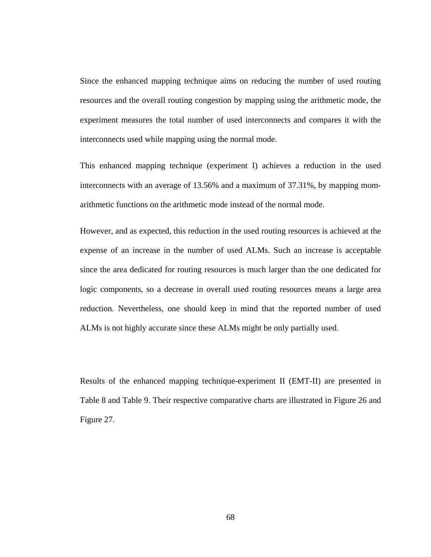Since the enhanced mapping technique aims on reducing the number of used routing resources and the overall routing congestion by mapping using the arithmetic mode, the experiment measures the total number of used interconnects and compares it with the interconnects used while mapping using the normal mode.

This enhanced mapping technique (experiment I) achieves a reduction in the used interconnects with an average of 13.56% and a maximum of 37.31%, by mapping momarithmetic functions on the arithmetic mode instead of the normal mode.

However, and as expected, this reduction in the used routing resources is achieved at the expense of an increase in the number of used ALMs. Such an increase is acceptable since the area dedicated for routing resources is much larger than the one dedicated for logic components, so a decrease in overall used routing resources means a large area reduction. Nevertheless, one should keep in mind that the reported number of used ALMs is not highly accurate since these ALMs might be only partially used.

Results of the enhanced mapping technique-experiment II (EMT-II) are presented in Table 8 and Table 9. Their respective comparative charts are illustrated in Figure 26 and Figure 27.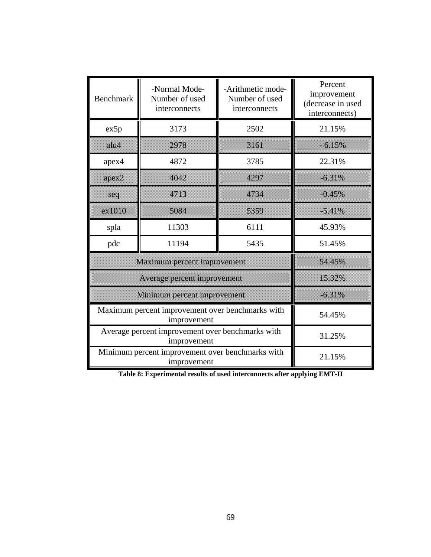| <b>Benchmark</b>                                 | -Normal Mode-<br>Number of used<br>interconnects | -Arithmetic mode-<br>Number of used<br>interconnects | Percent<br>improvement<br>(decrease in used<br>interconnects) |
|--------------------------------------------------|--------------------------------------------------|------------------------------------------------------|---------------------------------------------------------------|
| ex5p                                             | 3173                                             | 2502                                                 | 21.15%                                                        |
| allu4                                            | 2978                                             | 3161                                                 | $-6.15%$                                                      |
| apex4                                            | 4872                                             | 3785                                                 | 22.31%                                                        |
| apex <sub>2</sub>                                | 4042                                             | 4297                                                 | $-6.31\%$                                                     |
| seq                                              | 4713                                             | 4734                                                 | $-0.45\%$                                                     |
| ex1010                                           | 5084                                             | 5359                                                 | $-5.41\%$                                                     |
| spla                                             | 11303                                            | 6111                                                 | 45.93%                                                        |
| pdc                                              | 11194                                            | 5435                                                 | 51.45%                                                        |
|                                                  | Maximum percent improvement                      |                                                      | 54.45%                                                        |
|                                                  | Average percent improvement                      |                                                      | 15.32%                                                        |
| Minimum percent improvement                      | $-6.31\%$                                        |                                                      |                                                               |
| Maximum percent improvement over benchmarks with | 54.45%                                           |                                                      |                                                               |
| Average percent improvement over benchmarks with | 31.25%                                           |                                                      |                                                               |
| Minimum percent improvement over benchmarks with | 21.15%                                           |                                                      |                                                               |

**Table 8: Experimental results of used interconnects after applying EMT-II**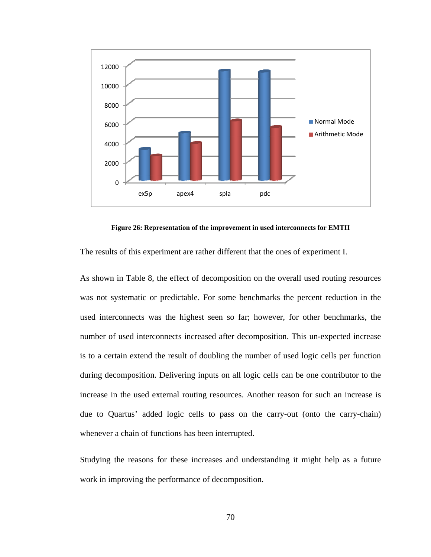

**Figure 26: Representation of the improvement in used interconnects for EMTII** 

The results of this experiment are rather different that the ones of experiment I.

As shown in Table 8, the effect of decomposition on the overall used routing resources was not systematic or predictable. For some benchmarks the percent reduction in the used interconnects was the highest seen so far; however, for other benchmarks, the number of used interconnects increased after decomposition. This un-expected increase is to a certain extend the result of doubling the number of used logic cells per function during decomposition. Delivering inputs on all logic cells can be one contributor to the increase in the used external routing resources. Another reason for such an increase is due to Quartus' added logic cells to pass on the carry-out (onto the carry-chain) whenever a chain of functions has been interrupted.

Studying the reasons for these increases and understanding it might help as a future work in improving the performance of decomposition.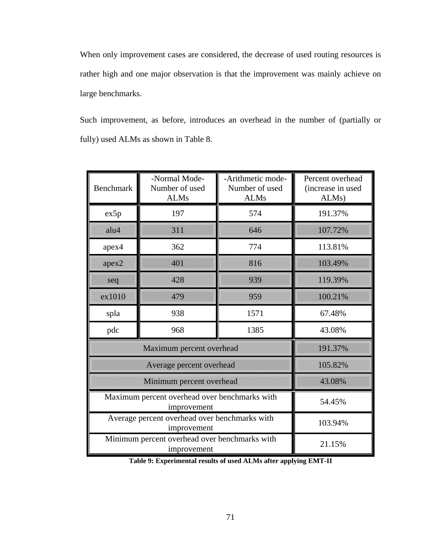When only improvement cases are considered, the decrease of used routing resources is rather high and one major observation is that the improvement was mainly achieve on large benchmarks.

Such improvement, as before, introduces an overhead in the number of (partially or fully) used ALMs as shown in Table 8.

| <b>Benchmark</b>                              | -Normal Mode-<br>Number of used<br><b>ALMs</b>               | -Arithmetic mode-<br>Number of used<br><b>ALMs</b> | Percent overhead<br>(increase in used<br>ALMs) |
|-----------------------------------------------|--------------------------------------------------------------|----------------------------------------------------|------------------------------------------------|
| ex5p                                          | 197                                                          | 574                                                | 191.37%                                        |
| allu4                                         | 311                                                          | 646                                                | 107.72%                                        |
| apex4                                         | 362                                                          | 774                                                | 113.81%                                        |
| арех2                                         | 401                                                          | 816                                                | 103.49%                                        |
| seq                                           | 428                                                          | 939                                                | 119,39%                                        |
| ex1010                                        | 479                                                          | 959                                                | 100.21%                                        |
| spla                                          | 938                                                          | 1571                                               | 67.48%                                         |
| pdc                                           | 968                                                          | 1385                                               | 43.08%                                         |
|                                               | Maximum percent overhead                                     |                                                    | 191.37%                                        |
|                                               | Average percent overhead                                     |                                                    | 105.82%                                        |
|                                               | Minimum percent overhead                                     |                                                    | 43,08%                                         |
| Maximum percent overhead over benchmarks with | 54.45%                                                       |                                                    |                                                |
| Average percent overhead over benchmarks with | 103.94%                                                      |                                                    |                                                |
|                                               | Minimum percent overhead over benchmarks with<br>improvement |                                                    | 21.15%                                         |

**Table 9: Experimental results of used ALMs after applying EMT-II**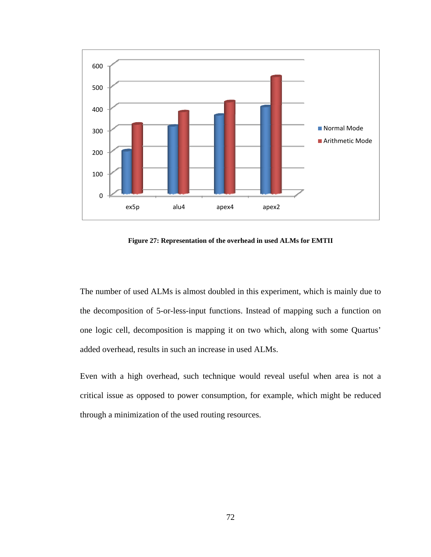

**Figure 27: Representation of the overhead in used ALMs for EMTII** 

The number of used ALMs is almost doubled in this experiment, which is mainly due to the decomposition of 5-or-less-input functions. Instead of mapping such a function on one logic cell, decomposition is mapping it on two which, along with some Quartus' added overhead, results in such an increase in used ALMs.

Even with a high overhead, such technique would reveal useful when area is not a critical issue as opposed to power consumption, for example, which might be reduced through a minimization of the used routing resources.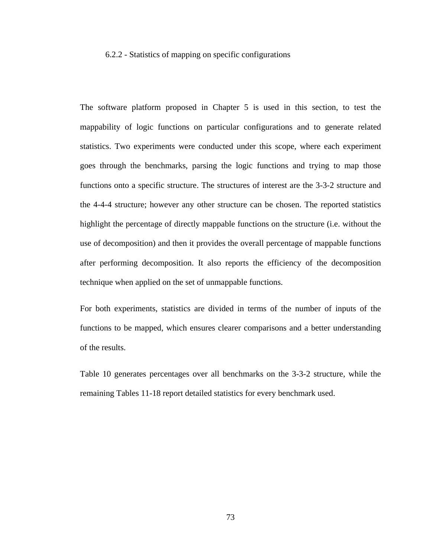#### 6.2.2 - Statistics of mapping on specific configurations

The software platform proposed in Chapter 5 is used in this section, to test the mappability of logic functions on particular configurations and to generate related statistics. Two experiments were conducted under this scope, where each experiment goes through the benchmarks, parsing the logic functions and trying to map those functions onto a specific structure. The structures of interest are the 3-3-2 structure and the 4-4-4 structure; however any other structure can be chosen. The reported statistics highlight the percentage of directly mappable functions on the structure (i.e. without the use of decomposition) and then it provides the overall percentage of mappable functions after performing decomposition. It also reports the efficiency of the decomposition technique when applied on the set of unmappable functions.

For both experiments, statistics are divided in terms of the number of inputs of the functions to be mapped, which ensures clearer comparisons and a better understanding of the results.

Table 10 generates percentages over all benchmarks on the 3-3-2 structure, while the remaining Tables 11-18 report detailed statistics for every benchmark used.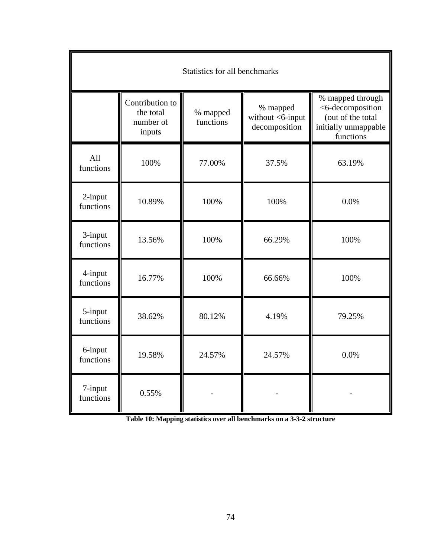| Statistics for all benchmarks |                                                     |                       |                                               |                                                                                                |
|-------------------------------|-----------------------------------------------------|-----------------------|-----------------------------------------------|------------------------------------------------------------------------------------------------|
|                               | Contribution to<br>the total<br>number of<br>inputs | % mapped<br>functions | % mapped<br>without <6-input<br>decomposition | % mapped through<br><6-decomposition<br>(out of the total<br>initially unmappable<br>functions |
| All<br>functions              | 100%                                                | 77.00%                | 37.5%                                         | 63.19%                                                                                         |
| 2-input<br>functions          | 10.89%                                              | 100%                  | 100%                                          | 0.0%                                                                                           |
| 3-input<br>functions          | 13.56%                                              | 100%                  | 66.29%                                        | 100%                                                                                           |
| 4-input<br>functions          | 16.77%                                              | 100%                  | 66.66%                                        | 100%                                                                                           |
| 5-input<br>functions          | 38.62%                                              | 80.12%                | 4.19%                                         | 79.25%                                                                                         |
| 6-input<br>functions          | 19.58%                                              | 24.57%                | 24.57%                                        | 0.0%                                                                                           |
| 7-input<br>functions          | 0.55%                                               |                       |                                               |                                                                                                |

**Table 10: Mapping statistics over all benchmarks on a 3-3-2 structure**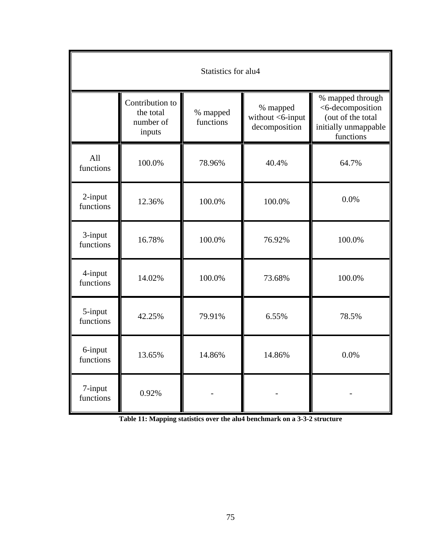| Statistics for alu4  |                                                     |                       |                                               |                                                                                                |
|----------------------|-----------------------------------------------------|-----------------------|-----------------------------------------------|------------------------------------------------------------------------------------------------|
|                      | Contribution to<br>the total<br>number of<br>inputs | % mapped<br>functions | % mapped<br>without <6-input<br>decomposition | % mapped through<br><6-decomposition<br>(out of the total<br>initially unmappable<br>functions |
| All<br>functions     | 100.0%                                              | 78.96%                | 40.4%                                         | 64.7%                                                                                          |
| 2-input<br>functions | 12.36%                                              | 100.0%                | 100.0%                                        | 0.0%                                                                                           |
| 3-input<br>functions | 16.78%                                              | 100.0%                | 76.92%                                        | 100.0%                                                                                         |
| 4-input<br>functions | 14.02%                                              | 100.0%                | 73.68%                                        | 100.0%                                                                                         |
| 5-input<br>functions | 42.25%                                              | 79.91%                | 6.55%                                         | 78.5%                                                                                          |
| 6-input<br>functions | 13.65%                                              | 14.86%                | 14.86%                                        | 0.0%                                                                                           |
| 7-input<br>functions | 0.92%                                               |                       |                                               |                                                                                                |

**Table 11: Mapping statistics over the alu4 benchmark on a 3-3-2 structure**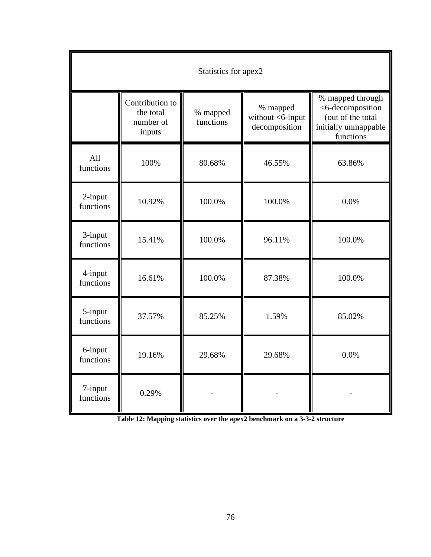| Statistics for apex2 |                                                     |                       |                                               |                                                                                                |
|----------------------|-----------------------------------------------------|-----------------------|-----------------------------------------------|------------------------------------------------------------------------------------------------|
|                      | Contribution to<br>the total<br>number of<br>inputs | % mapped<br>functions | % mapped<br>without <6-input<br>decomposition | % mapped through<br><6-decomposition<br>(out of the total<br>initially unmappable<br>functions |
| All<br>functions     | 100%                                                | 80.68%                | 46.55%                                        | 63.86%                                                                                         |
| 2-input<br>functions | 10.92%                                              | 100.0%                | 100.0%                                        | 0.0%                                                                                           |
| 3-input<br>functions | 15.41%                                              | 100.0%                | 96.11%                                        | 100.0%                                                                                         |
| 4-input<br>functions | 16.61%                                              | 100.0%                | 87.38%                                        | 100.0%                                                                                         |
| 5-input<br>functions | 37.57%                                              | 85.25%                | 1.59%                                         | 85.02%                                                                                         |
| 6-input<br>functions | 19.16%                                              | 29.68%                | 29.68%                                        | 0.0%                                                                                           |
| 7-input<br>functions | 0.29%                                               |                       |                                               |                                                                                                |

**Table 12: Mapping statistics over the apex2 benchmark on a 3-3-2 structure**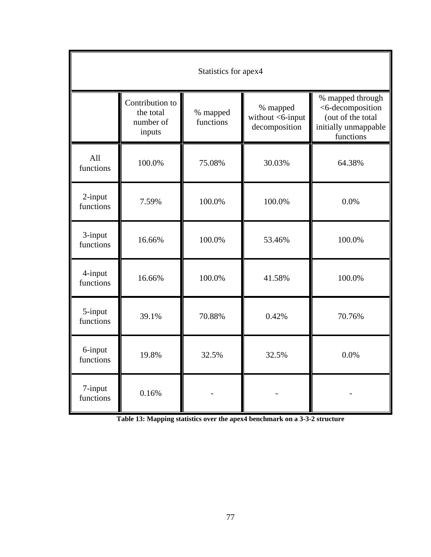| Statistics for apex4 |                                                     |                       |                                               |                                                                                                |
|----------------------|-----------------------------------------------------|-----------------------|-----------------------------------------------|------------------------------------------------------------------------------------------------|
|                      | Contribution to<br>the total<br>number of<br>inputs | % mapped<br>functions | % mapped<br>without <6-input<br>decomposition | % mapped through<br><6-decomposition<br>(out of the total<br>initially unmappable<br>functions |
| All<br>functions     | 100.0%                                              | 75.08%                | 30.03%                                        | 64.38%                                                                                         |
| 2-input<br>functions | 7.59%                                               | 100.0%                | 100.0%                                        | 0.0%                                                                                           |
| 3-input<br>functions | 16.66%                                              | 100.0%                | 53.46%                                        | 100.0%                                                                                         |
| 4-input<br>functions | 16.66%                                              | 100.0%                | 41.58%                                        | 100.0%                                                                                         |
| 5-input<br>functions | 39.1%                                               | 70.88%                | 0.42%                                         | 70.76%                                                                                         |
| 6-input<br>functions | 19.8%                                               | 32.5%                 | 32.5%                                         | 0.0%                                                                                           |
| 7-input<br>functions | 0.16%                                               |                       |                                               |                                                                                                |

**Table 13: Mapping statistics over the apex4 benchmark on a 3-3-2 structure**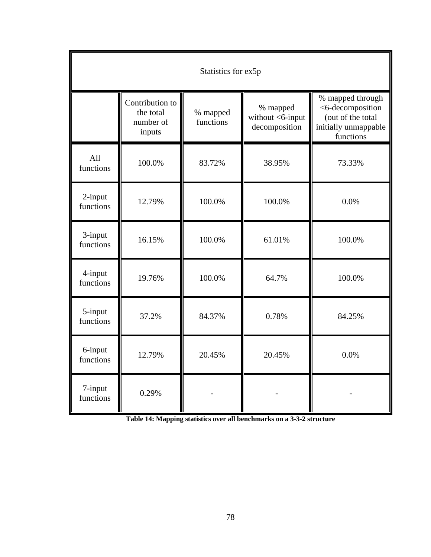| Statistics for ex5p  |                                                     |                       |                                                  |                                                                                                |
|----------------------|-----------------------------------------------------|-----------------------|--------------------------------------------------|------------------------------------------------------------------------------------------------|
|                      | Contribution to<br>the total<br>number of<br>inputs | % mapped<br>functions | % mapped<br>without $<$ 6-input<br>decomposition | % mapped through<br><6-decomposition<br>(out of the total<br>initially unmappable<br>functions |
| All<br>functions     | 100.0%                                              | 83.72%                | 38.95%                                           | 73.33%                                                                                         |
| 2-input<br>functions | 12.79%                                              | 100.0%                | 100.0%                                           | 0.0%                                                                                           |
| 3-input<br>functions | 16.15%                                              | 100.0%                | 61.01%                                           | 100.0%                                                                                         |
| 4-input<br>functions | 19.76%                                              | 100.0%                | 64.7%                                            | 100.0%                                                                                         |
| 5-input<br>functions | 37.2%                                               | 84.37%                | 0.78%                                            | 84.25%                                                                                         |
| 6-input<br>functions | 12.79%                                              | 20.45%                | 20.45%                                           | 0.0%                                                                                           |
| 7-input<br>functions | 0.29%                                               |                       |                                                  |                                                                                                |

**Table 14: Mapping statistics over all benchmarks on a 3-3-2 structure**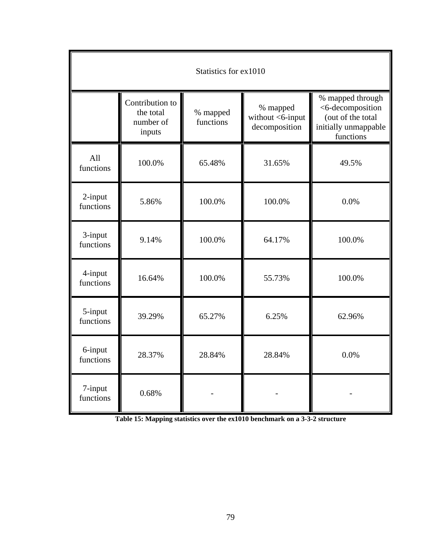| Statistics for ex1010 |                                                     |                       |                                               |                                                                                                |
|-----------------------|-----------------------------------------------------|-----------------------|-----------------------------------------------|------------------------------------------------------------------------------------------------|
|                       | Contribution to<br>the total<br>number of<br>inputs | % mapped<br>functions | % mapped<br>without <6-input<br>decomposition | % mapped through<br><6-decomposition<br>(out of the total<br>initially unmappable<br>functions |
| All<br>functions      | 100.0%                                              | 65.48%                | 31.65%                                        | 49.5%                                                                                          |
| 2-input<br>functions  | 5.86%                                               | 100.0%                | 100.0%                                        | 0.0%                                                                                           |
| 3-input<br>functions  | 9.14%                                               | 100.0%                | 64.17%                                        | 100.0%                                                                                         |
| 4-input<br>functions  | 16.64%                                              | 100.0%                | 55.73%                                        | 100.0%                                                                                         |
| 5-input<br>functions  | 39.29%                                              | 65.27%                | 6.25%                                         | 62.96%                                                                                         |
| 6-input<br>functions  | 28.37%                                              | 28.84%                | 28.84%                                        | 0.0%                                                                                           |
| 7-input<br>functions  | 0.68%                                               |                       |                                               |                                                                                                |

**Table 15: Mapping statistics over the ex1010 benchmark on a 3-3-2 structure**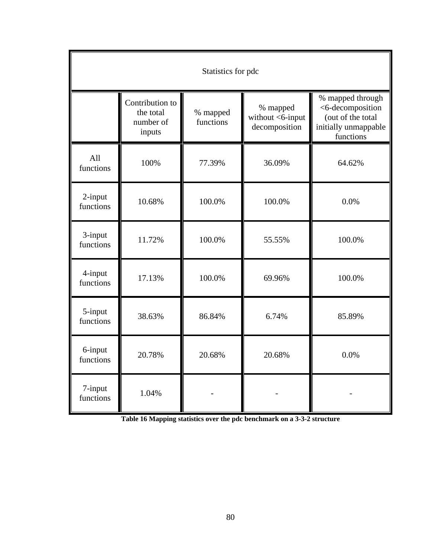| Statistics for pdc   |                                                     |                       |                                               |                                                                                                |
|----------------------|-----------------------------------------------------|-----------------------|-----------------------------------------------|------------------------------------------------------------------------------------------------|
|                      | Contribution to<br>the total<br>number of<br>inputs | % mapped<br>functions | % mapped<br>without <6-input<br>decomposition | % mapped through<br><6-decomposition<br>(out of the total<br>initially unmappable<br>functions |
| All<br>functions     | 100%                                                | 77.39%                | 36.09%                                        | 64.62%                                                                                         |
| 2-input<br>functions | 10.68%                                              | 100.0%                | 100.0%                                        | 0.0%                                                                                           |
| 3-input<br>functions | 11.72%                                              | 100.0%                | 55.55%                                        | 100.0%                                                                                         |
| 4-input<br>functions | 17.13%                                              | 100.0%                | 69.96%                                        | 100.0%                                                                                         |
| 5-input<br>functions | 38.63%                                              | 86.84%                | 6.74%                                         | 85.89%                                                                                         |
| 6-input<br>functions | 20.78%                                              | 20.68%                | 20.68%                                        | 0.0%                                                                                           |
| 7-input<br>functions | 1.04%                                               |                       |                                               |                                                                                                |

**Table 16 Mapping statistics over the pdc benchmark on a 3-3-2 structure**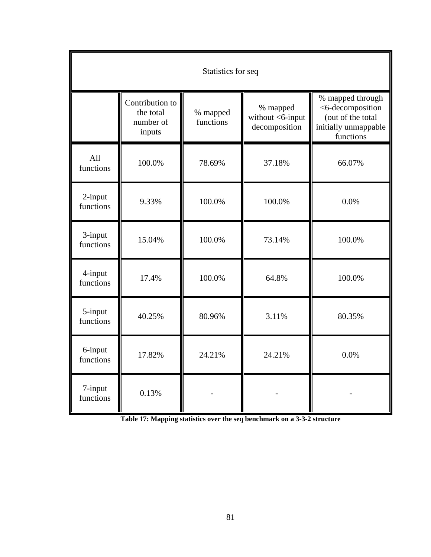| Statistics for seq   |                                                     |                       |                                               |                                                                                                |
|----------------------|-----------------------------------------------------|-----------------------|-----------------------------------------------|------------------------------------------------------------------------------------------------|
|                      | Contribution to<br>the total<br>number of<br>inputs | % mapped<br>functions | % mapped<br>without <6-input<br>decomposition | % mapped through<br><6-decomposition<br>(out of the total<br>initially unmappable<br>functions |
| All<br>functions     | 100.0%                                              | 78.69%                | 37.18%                                        | 66.07%                                                                                         |
| 2-input<br>functions | 9.33%                                               | 100.0%                | 100.0%                                        | 0.0%                                                                                           |
| 3-input<br>functions | 15.04%                                              | 100.0%                | 73.14%                                        | 100.0%                                                                                         |
| 4-input<br>functions | 17.4%                                               | 100.0%                | 64.8%                                         | 100.0%                                                                                         |
| 5-input<br>functions | 40.25%                                              | 80.96%                | 3.11%                                         | 80.35%                                                                                         |
| 6-input<br>functions | 17.82%                                              | 24.21%                | 24.21%                                        | 0.0%                                                                                           |
| 7-input<br>functions | 0.13%                                               |                       |                                               |                                                                                                |

**Table 17: Mapping statistics over the seq benchmark on a 3-3-2 structure**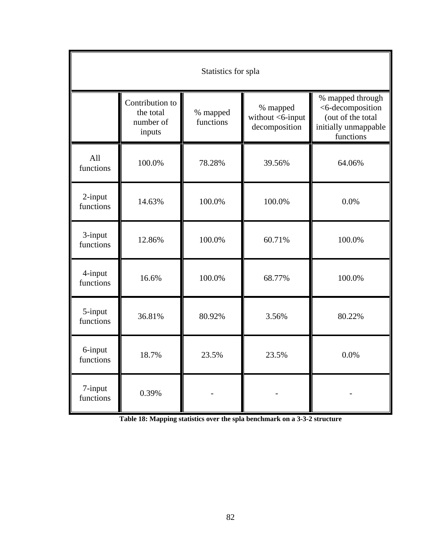| Statistics for spla  |                                                     |                       |                                               |                                                                                                |
|----------------------|-----------------------------------------------------|-----------------------|-----------------------------------------------|------------------------------------------------------------------------------------------------|
|                      | Contribution to<br>the total<br>number of<br>inputs | % mapped<br>functions | % mapped<br>without <6-input<br>decomposition | % mapped through<br><6-decomposition<br>(out of the total<br>initially unmappable<br>functions |
| All<br>functions     | 100.0%                                              | 78.28%                | 39.56%                                        | 64.06%                                                                                         |
| 2-input<br>functions | 14.63%                                              | 100.0%                | 100.0%                                        | 0.0%                                                                                           |
| 3-input<br>functions | 12.86%                                              | 100.0%                | 60.71%                                        | 100.0%                                                                                         |
| 4-input<br>functions | 16.6%                                               | 100.0%                | 68.77%                                        | 100.0%                                                                                         |
| 5-input<br>functions | 36.81%                                              | 80.92%                | 3.56%                                         | 80.22%                                                                                         |
| 6-input<br>functions | 18.7%                                               | 23.5%                 | 23.5%                                         | 0.0%                                                                                           |
| 7-input<br>functions | 0.39%                                               |                       |                                               |                                                                                                |

**Table 18: Mapping statistics over the spla benchmark on a 3-3-2 structure**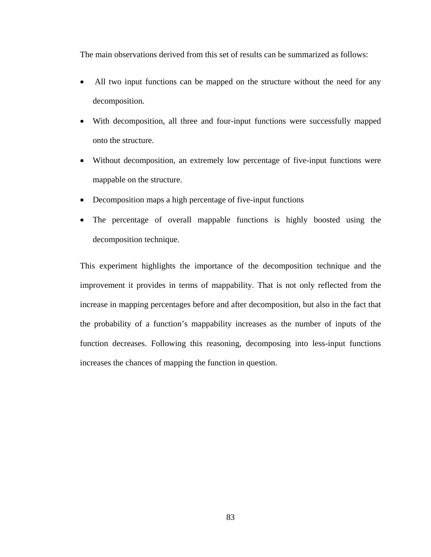The main observations derived from this set of results can be summarized as follows:

- All two input functions can be mapped on the structure without the need for any decomposition.
- With decomposition, all three and four-input functions were successfully mapped onto the structure.
- Without decomposition, an extremely low percentage of five-input functions were mappable on the structure.
- Decomposition maps a high percentage of five-input functions
- The percentage of overall mappable functions is highly boosted using the decomposition technique.

This experiment highlights the importance of the decomposition technique and the improvement it provides in terms of mappability. That is not only reflected from the increase in mapping percentages before and after decomposition, but also in the fact that the probability of a function's mappability increases as the number of inputs of the function decreases. Following this reasoning, decomposing into less-input functions increases the chances of mapping the function in question.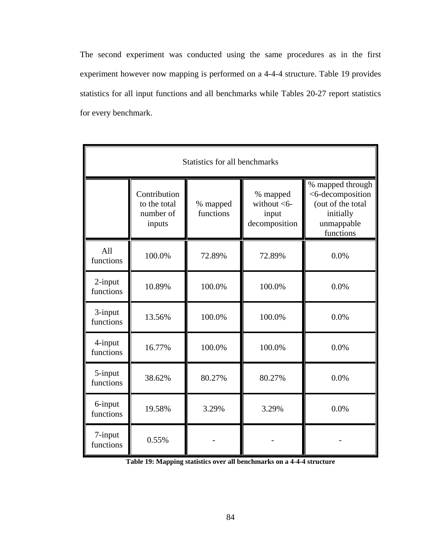The second experiment was conducted using the same procedures as in the first experiment however now mapping is performed on a 4-4-4 structure. Table 19 provides statistics for all input functions and all benchmarks while Tables 20-27 report statistics for every benchmark.

| Statistics for all benchmarks |                                                     |                       |                                                      |                                                                                                   |
|-------------------------------|-----------------------------------------------------|-----------------------|------------------------------------------------------|---------------------------------------------------------------------------------------------------|
|                               | Contribution<br>to the total<br>number of<br>inputs | % mapped<br>functions | % mapped<br>without $<$ 6-<br>input<br>decomposition | % mapped through<br><6-decomposition<br>(out of the total<br>initially<br>unmappable<br>functions |
| All<br>functions              | 100.0%                                              | 72.89%                | 72.89%                                               | 0.0%                                                                                              |
| 2-input<br>functions          | 10.89%                                              | 100.0%                | 100.0%                                               | 0.0%                                                                                              |
| 3-input<br>functions          | 13.56%                                              | 100.0%                | 100.0%                                               | 0.0%                                                                                              |
| 4-input<br>functions          | 16.77%                                              | 100.0%                | 100.0%                                               | 0.0%                                                                                              |
| 5-input<br>functions          | 38.62%                                              | 80.27%                | 80.27%                                               | 0.0%                                                                                              |
| 6-input<br>functions          | 19.58%                                              | 3.29%                 | 3.29%                                                | 0.0%                                                                                              |
| 7-input<br>functions          | 0.55%                                               |                       |                                                      |                                                                                                   |

**Table 19: Mapping statistics over all benchmarks on a 4-4-4 structure**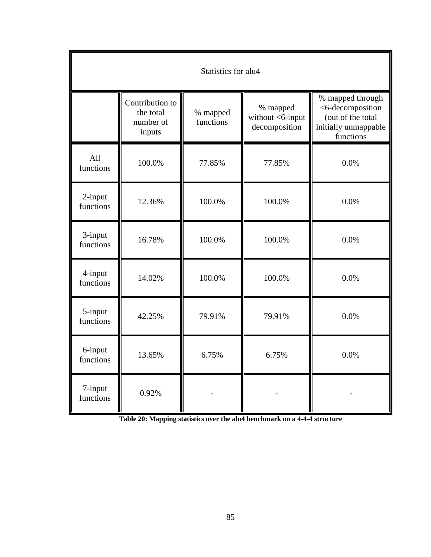| Statistics for alu4  |                                                     |                       |                                               |                                                                                                |
|----------------------|-----------------------------------------------------|-----------------------|-----------------------------------------------|------------------------------------------------------------------------------------------------|
|                      | Contribution to<br>the total<br>number of<br>inputs | % mapped<br>functions | % mapped<br>without <6-input<br>decomposition | % mapped through<br><6-decomposition<br>(out of the total<br>initially unmappable<br>functions |
| All<br>functions     | 100.0%                                              | 77.85%                | 77.85%                                        | 0.0%                                                                                           |
| 2-input<br>functions | 12.36%                                              | 100.0%                | 100.0%                                        | 0.0%                                                                                           |
| 3-input<br>functions | 16.78%                                              | 100.0%                | 100.0%                                        | 0.0%                                                                                           |
| 4-input<br>functions | 14.02%                                              | 100.0%                | 100.0%                                        | 0.0%                                                                                           |
| 5-input<br>functions | 42.25%                                              | 79.91%                | 79.91%                                        | 0.0%                                                                                           |
| 6-input<br>functions | 13.65%                                              | 6.75%                 | 6.75%                                         | 0.0%                                                                                           |
| 7-input<br>functions | 0.92%                                               |                       |                                               |                                                                                                |

**Table 20: Mapping statistics over the alu4 benchmark on a 4-4-4 structure**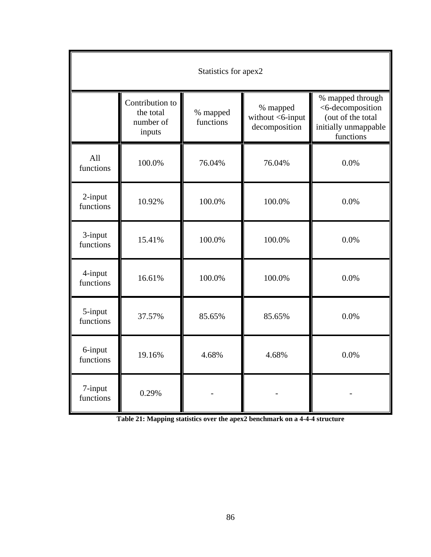| Statistics for apex2 |                                                     |                       |                                               |                                                                                                |
|----------------------|-----------------------------------------------------|-----------------------|-----------------------------------------------|------------------------------------------------------------------------------------------------|
|                      | Contribution to<br>the total<br>number of<br>inputs | % mapped<br>functions | % mapped<br>without <6-input<br>decomposition | % mapped through<br><6-decomposition<br>(out of the total<br>initially unmappable<br>functions |
| All<br>functions     | 100.0%                                              | 76.04%                | 76.04%                                        | 0.0%                                                                                           |
| 2-input<br>functions | 10.92%                                              | 100.0%                | 100.0%                                        | 0.0%                                                                                           |
| 3-input<br>functions | 15.41%                                              | 100.0%                | 100.0%                                        | 0.0%                                                                                           |
| 4-input<br>functions | 16.61%                                              | 100.0%                | 100.0%                                        | 0.0%                                                                                           |
| 5-input<br>functions | 37.57%                                              | 85.65%                | 85.65%                                        | 0.0%                                                                                           |
| 6-input<br>functions | 19.16%                                              | 4.68%                 | 4.68%                                         | 0.0%                                                                                           |
| 7-input<br>functions | 0.29%                                               |                       |                                               |                                                                                                |

**Table 21: Mapping statistics over the apex2 benchmark on a 4-4-4 structure**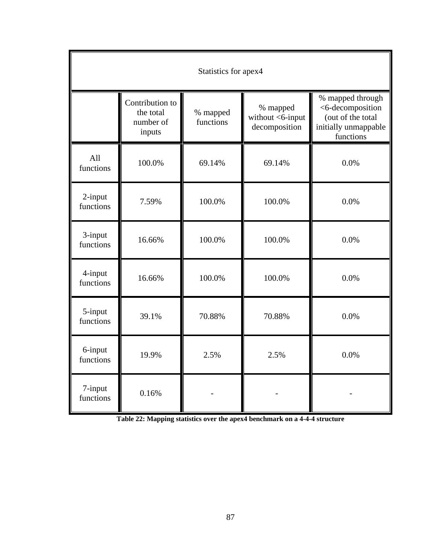| Statistics for apex4 |                                                     |                       |                                               |                                                                                                |
|----------------------|-----------------------------------------------------|-----------------------|-----------------------------------------------|------------------------------------------------------------------------------------------------|
|                      | Contribution to<br>the total<br>number of<br>inputs | % mapped<br>functions | % mapped<br>without <6-input<br>decomposition | % mapped through<br><6-decomposition<br>(out of the total<br>initially unmappable<br>functions |
| All<br>functions     | 100.0%                                              | 69.14%                | 69.14%                                        | 0.0%                                                                                           |
| 2-input<br>functions | 7.59%                                               | 100.0%                | 100.0%                                        | 0.0%                                                                                           |
| 3-input<br>functions | 16.66%                                              | 100.0%                | 100.0%                                        | 0.0%                                                                                           |
| 4-input<br>functions | 16.66%                                              | 100.0%                | 100.0%                                        | 0.0%                                                                                           |
| 5-input<br>functions | 39.1%                                               | 70.88%                | 70.88%                                        | 0.0%                                                                                           |
| 6-input<br>functions | 19.9%                                               | 2.5%                  | 2.5%                                          | 0.0%                                                                                           |
| 7-input<br>functions | 0.16%                                               |                       |                                               |                                                                                                |

**Table 22: Mapping statistics over the apex4 benchmark on a 4-4-4 structure**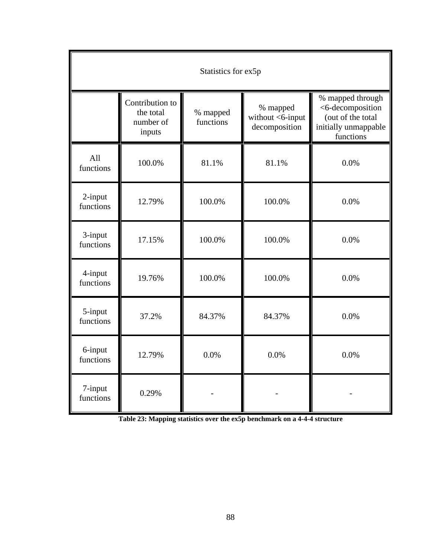| Statistics for ex5p  |                                                     |                       |                                                  |                                                                                                |
|----------------------|-----------------------------------------------------|-----------------------|--------------------------------------------------|------------------------------------------------------------------------------------------------|
|                      | Contribution to<br>the total<br>number of<br>inputs | % mapped<br>functions | % mapped<br>without $<$ 6-input<br>decomposition | % mapped through<br><6-decomposition<br>(out of the total<br>initially unmappable<br>functions |
| All<br>functions     | 100.0%                                              | 81.1%                 | 81.1%                                            | 0.0%                                                                                           |
| 2-input<br>functions | 12.79%                                              | 100.0%                | 100.0%                                           | 0.0%                                                                                           |
| 3-input<br>functions | 17.15%                                              | 100.0%                | 100.0%                                           | 0.0%                                                                                           |
| 4-input<br>functions | 19.76%                                              | 100.0%                | 100.0%                                           | 0.0%                                                                                           |
| 5-input<br>functions | 37.2%                                               | 84.37%                | 84.37%                                           | 0.0%                                                                                           |
| 6-input<br>functions | 12.79%                                              | 0.0%                  | 0.0%                                             | 0.0%                                                                                           |
| 7-input<br>functions | 0.29%                                               |                       |                                                  |                                                                                                |

**Table 23: Mapping statistics over the ex5p benchmark on a 4-4-4 structure**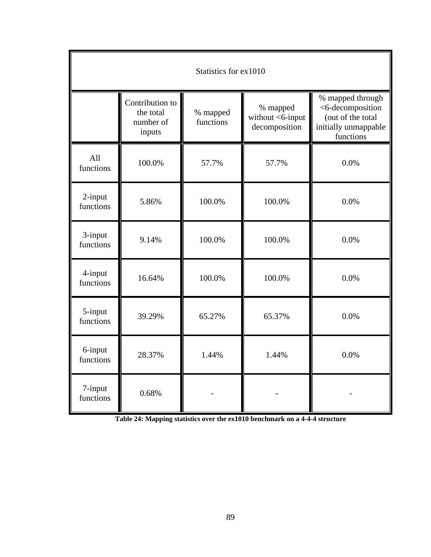| Statistics for ex1010 |                                                     |                       |                                               |                                                                                                |
|-----------------------|-----------------------------------------------------|-----------------------|-----------------------------------------------|------------------------------------------------------------------------------------------------|
|                       | Contribution to<br>the total<br>number of<br>inputs | % mapped<br>functions | % mapped<br>without <6-input<br>decomposition | % mapped through<br><6-decomposition<br>(out of the total<br>initially unmappable<br>functions |
| All<br>functions      | 100.0%                                              | 57.7%                 | 57.7%                                         | 0.0%                                                                                           |
| 2-input<br>functions  | 5.86%                                               | 100.0%                | 100.0%                                        | 0.0%                                                                                           |
| 3-input<br>functions  | 9.14%                                               | 100.0%                | 100.0%                                        | 0.0%                                                                                           |
| 4-input<br>functions  | 16.64%                                              | 100.0%                | 100.0%                                        | 0.0%                                                                                           |
| 5-input<br>functions  | 39.29%                                              | 65.27%                | 65.37%                                        | 0.0%                                                                                           |
| 6-input<br>functions  | 28.37%                                              | 1.44%                 | 1.44%                                         | 0.0%                                                                                           |
| 7-input<br>functions  | 0.68%                                               |                       |                                               |                                                                                                |

**Table 24: Mapping statistics over the ex1010 benchmark on a 4-4-4 structure**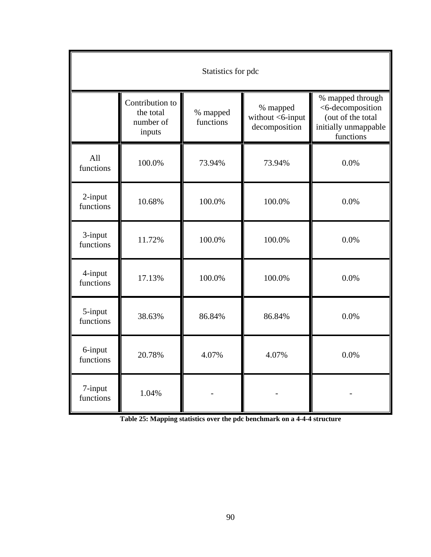| Statistics for pdc   |                                                     |                       |                                               |                                                                                                |
|----------------------|-----------------------------------------------------|-----------------------|-----------------------------------------------|------------------------------------------------------------------------------------------------|
|                      | Contribution to<br>the total<br>number of<br>inputs | % mapped<br>functions | % mapped<br>without <6-input<br>decomposition | % mapped through<br><6-decomposition<br>(out of the total<br>initially unmappable<br>functions |
| All<br>functions     | 100.0%                                              | 73.94%                | 73.94%                                        | 0.0%                                                                                           |
| 2-input<br>functions | 10.68%                                              | 100.0%                | 100.0%                                        | 0.0%                                                                                           |
| 3-input<br>functions | 11.72%                                              | 100.0%                | 100.0%                                        | 0.0%                                                                                           |
| 4-input<br>functions | 17.13%                                              | 100.0%                | 100.0%                                        | 0.0%                                                                                           |
| 5-input<br>functions | 38.63%                                              | 86.84%                | 86.84%                                        | 0.0%                                                                                           |
| 6-input<br>functions | 20.78%                                              | 4.07%                 | 4.07%                                         | 0.0%                                                                                           |
| 7-input<br>functions | 1.04%                                               |                       |                                               |                                                                                                |

**Table 25: Mapping statistics over the pdc benchmark on a 4-4-4 structure**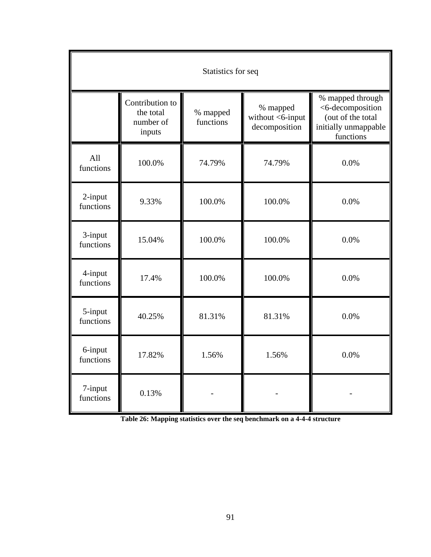| Statistics for seq   |                                                     |                       |                                               |                                                                                                |
|----------------------|-----------------------------------------------------|-----------------------|-----------------------------------------------|------------------------------------------------------------------------------------------------|
|                      | Contribution to<br>the total<br>number of<br>inputs | % mapped<br>functions | % mapped<br>without <6-input<br>decomposition | % mapped through<br><6-decomposition<br>(out of the total<br>initially unmappable<br>functions |
| All<br>functions     | 100.0%                                              | 74.79%                | 74.79%                                        | 0.0%                                                                                           |
| 2-input<br>functions | 9.33%                                               | 100.0%                | 100.0%                                        | 0.0%                                                                                           |
| 3-input<br>functions | 15.04%                                              | 100.0%                | 100.0%                                        | 0.0%                                                                                           |
| 4-input<br>functions | 17.4%                                               | 100.0%                | 100.0%                                        | 0.0%                                                                                           |
| 5-input<br>functions | 40.25%                                              | 81.31%                | 81.31%                                        | 0.0%                                                                                           |
| 6-input<br>functions | 17.82%                                              | 1.56%                 | 1.56%                                         | 0.0%                                                                                           |
| 7-input<br>functions | 0.13%                                               |                       |                                               |                                                                                                |

**Table 26: Mapping statistics over the seq benchmark on a 4-4-4 structure**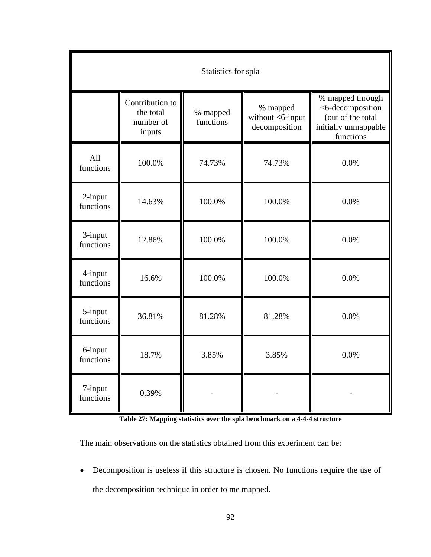| Statistics for spla  |                                                     |                       |                                               |                                                                                                |
|----------------------|-----------------------------------------------------|-----------------------|-----------------------------------------------|------------------------------------------------------------------------------------------------|
|                      | Contribution to<br>the total<br>number of<br>inputs | % mapped<br>functions | % mapped<br>without <6-input<br>decomposition | % mapped through<br><6-decomposition<br>(out of the total<br>initially unmappable<br>functions |
| All<br>functions     | 100.0%                                              | 74.73%                | 74.73%                                        | 0.0%                                                                                           |
| 2-input<br>functions | 14.63%                                              | 100.0%                | 100.0%                                        | 0.0%                                                                                           |
| 3-input<br>functions | 12.86%                                              | 100.0%                | 100.0%                                        | 0.0%                                                                                           |
| 4-input<br>functions | 16.6%                                               | 100.0%                | 100.0%                                        | 0.0%                                                                                           |
| 5-input<br>functions | 36.81%                                              | 81.28%                | 81.28%                                        | 0.0%                                                                                           |
| 6-input<br>functions | 18.7%                                               | 3.85%                 | 3.85%                                         | 0.0%                                                                                           |
| 7-input<br>functions | 0.39%                                               |                       |                                               |                                                                                                |

**Table 27: Mapping statistics over the spla benchmark on a 4-4-4 structure** 

The main observations on the statistics obtained from this experiment can be:

• Decomposition is useless if this structure is chosen. No functions require the use of the decomposition technique in order to me mapped.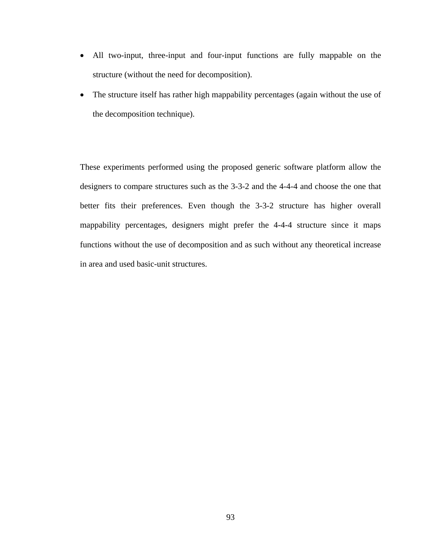- All two-input, three-input and four-input functions are fully mappable on the structure (without the need for decomposition).
- The structure itself has rather high mappability percentages (again without the use of the decomposition technique).

These experiments performed using the proposed generic software platform allow the designers to compare structures such as the 3-3-2 and the 4-4-4 and choose the one that better fits their preferences. Even though the 3-3-2 structure has higher overall mappability percentages, designers might prefer the 4-4-4 structure since it maps functions without the use of decomposition and as such without any theoretical increase in area and used basic-unit structures.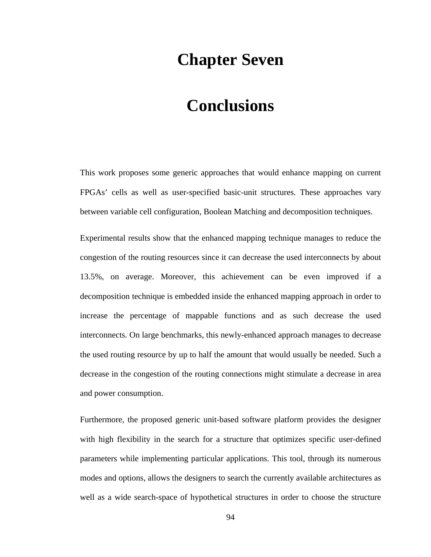### **Chapter Seven**

## **Conclusions**

This work proposes some generic approaches that would enhance mapping on current FPGAs' cells as well as user-specified basic-unit structures. These approaches vary between variable cell configuration, Boolean Matching and decomposition techniques.

Experimental results show that the enhanced mapping technique manages to reduce the congestion of the routing resources since it can decrease the used interconnects by about 13.5%, on average. Moreover, this achievement can be even improved if a decomposition technique is embedded inside the enhanced mapping approach in order to increase the percentage of mappable functions and as such decrease the used interconnects. On large benchmarks, this newly-enhanced approach manages to decrease the used routing resource by up to half the amount that would usually be needed. Such a decrease in the congestion of the routing connections might stimulate a decrease in area and power consumption.

Furthermore, the proposed generic unit-based software platform provides the designer with high flexibility in the search for a structure that optimizes specific user-defined parameters while implementing particular applications. This tool, through its numerous modes and options, allows the designers to search the currently available architectures as well as a wide search-space of hypothetical structures in order to choose the structure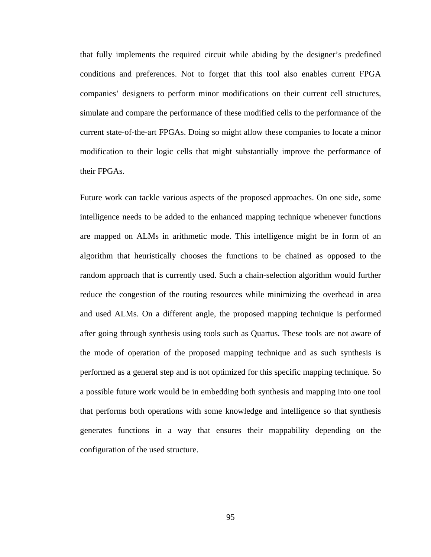that fully implements the required circuit while abiding by the designer's predefined conditions and preferences. Not to forget that this tool also enables current FPGA companies' designers to perform minor modifications on their current cell structures, simulate and compare the performance of these modified cells to the performance of the current state-of-the-art FPGAs. Doing so might allow these companies to locate a minor modification to their logic cells that might substantially improve the performance of their FPGAs.

Future work can tackle various aspects of the proposed approaches. On one side, some intelligence needs to be added to the enhanced mapping technique whenever functions are mapped on ALMs in arithmetic mode. This intelligence might be in form of an algorithm that heuristically chooses the functions to be chained as opposed to the random approach that is currently used. Such a chain-selection algorithm would further reduce the congestion of the routing resources while minimizing the overhead in area and used ALMs. On a different angle, the proposed mapping technique is performed after going through synthesis using tools such as Quartus. These tools are not aware of the mode of operation of the proposed mapping technique and as such synthesis is performed as a general step and is not optimized for this specific mapping technique. So a possible future work would be in embedding both synthesis and mapping into one tool that performs both operations with some knowledge and intelligence so that synthesis generates functions in a way that ensures their mappability depending on the configuration of the used structure.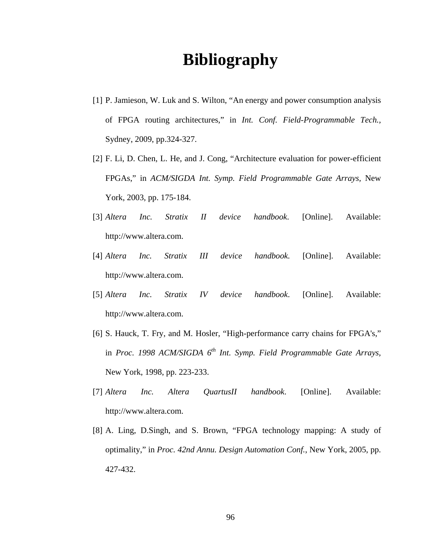## **Bibliography**

- [1] P. Jamieson, W. Luk and S. Wilton, "An energy and power consumption analysis of FPGA routing architectures," in *Int. Conf. Field-Programmable Tech.,* Sydney, 2009, pp.324-327.
- [2] F. Li, D. Chen, L. He, and J. Cong, "Architecture evaluation for power-efficient FPGAs," in *ACM/SIGDA Int. Symp. Field Programmable Gate Arrays,* New York, 2003, pp. 175-184.
- [3] *Altera Inc. Stratix II device handbook*. [Online]. Available: http://www.altera.com.
- [4] *Altera Inc. Stratix III device handbook.* [Online]. Available: http://www.altera.com.
- [5] *Altera Inc. Stratix IV device handbook*. [Online]. Available: http://www.altera.com.
- [6] S. Hauck, T. Fry, and M. Hosler, "High-performance carry chains for FPGA's," in *Proc. 1998 ACM/SIGDA 6<sup>th</sup> Int. Symp. Field Programmable Gate Arrays,* New York, 1998, pp. 223-233.
- [7] *Altera Inc. Altera QuartusII handbook*. [Online]. Available: http://www.altera.com.
- [8] A. Ling, D.Singh, and S. Brown, "FPGA technology mapping: A study of optimality," in *Proc. 42nd Annu. Design Automation Conf.*, New York, 2005, pp. 427-432.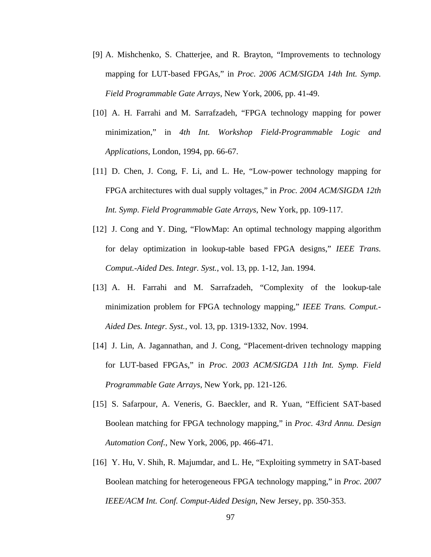- [9] A. Mishchenko, S. Chatterjee, and R. Brayton, "Improvements to technology mapping for LUT-based FPGAs," in *Proc. 2006 ACM/SIGDA 14th Int. Symp. Field Programmable Gate Arrays*, New York, 2006, pp. 41-49.
- [10] A. H. Farrahi and M. Sarrafzadeh, "FPGA technology mapping for power minimization," in *4th Int. Workshop Field-Programmable Logic and Applications*, London, 1994, pp. 66-67.
- [11] D. Chen, J. Cong, F. Li, and L. He, "Low-power technology mapping for FPGA architectures with dual supply voltages," in *Proc. 2004 ACM/SIGDA 12th Int. Symp. Field Programmable Gate Arrays*, New York, pp. 109-117.
- [12] J. Cong and Y. Ding, "FlowMap: An optimal technology mapping algorithm for delay optimization in lookup-table based FPGA designs," *IEEE Trans. Comput.-Aided Des. Integr. Syst.*, vol. 13, pp. 1-12, Jan. 1994.
- [13] A. H. Farrahi and M. Sarrafzadeh, "Complexity of the lookup-tale minimization problem for FPGA technology mapping," *IEEE Trans. Comput.- Aided Des. Integr. Syst.*, vol. 13, pp. 1319-1332, Nov. 1994.
- [14] J. Lin, A. Jagannathan, and J. Cong, "Placement-driven technology mapping for LUT-based FPGAs," in *Proc. 2003 ACM/SIGDA 11th Int. Symp. Field Programmable Gate Arrays*, New York, pp. 121-126.
- [15] S. Safarpour, A. Veneris, G. Baeckler, and R. Yuan, "Efficient SAT-based Boolean matching for FPGA technology mapping," in *Proc. 43rd Annu. Design Automation Conf.*, New York, 2006, pp. 466-471.
- [16] Y. Hu, V. Shih, R. Majumdar, and L. He, "Exploiting symmetry in SAT-based Boolean matching for heterogeneous FPGA technology mapping," in *Proc. 2007 IEEE/ACM Int. Conf. Comput-Aided Design*, New Jersey, pp. 350-353.